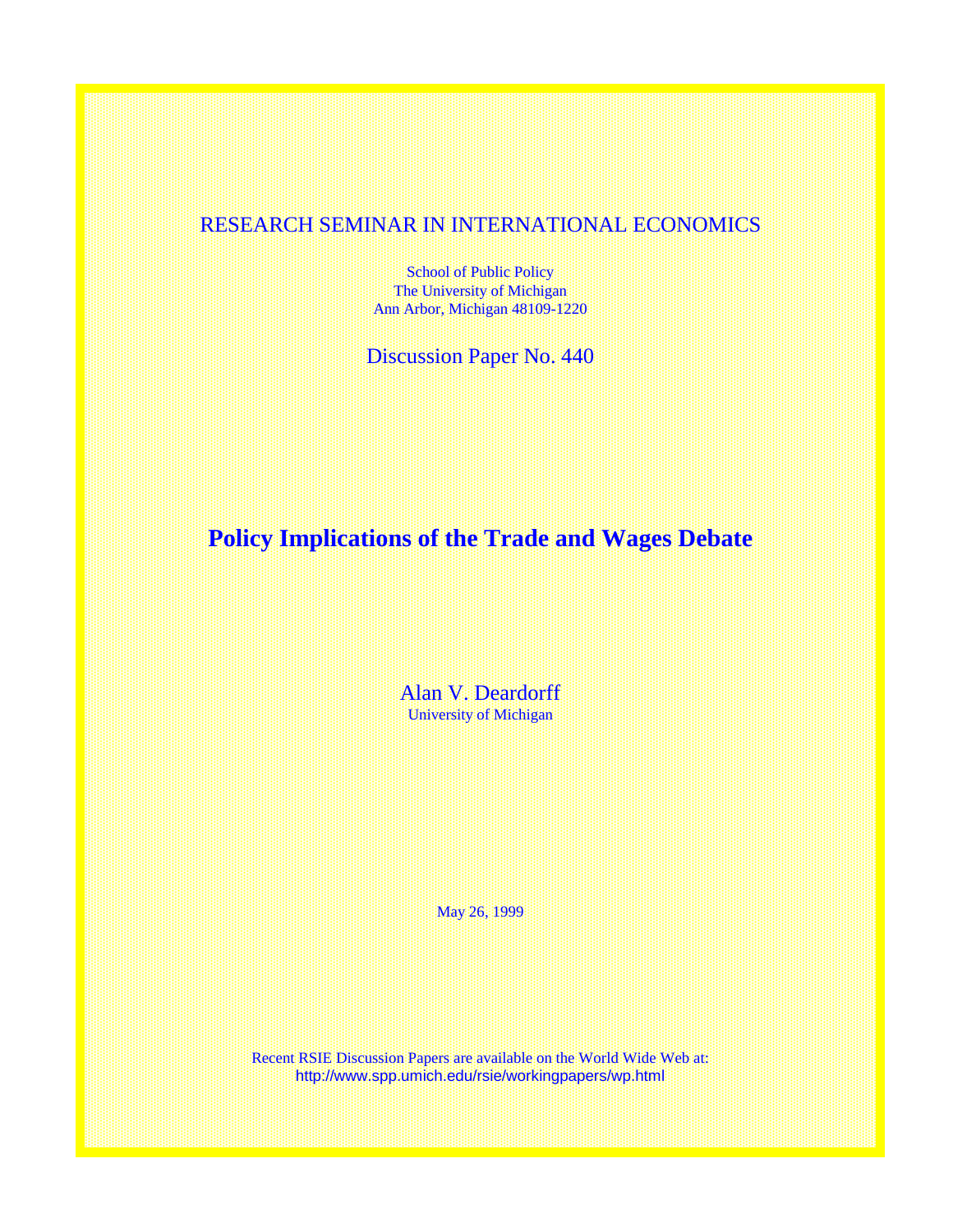## RESEARCH SEMINAR IN INTERNATIONAL ECONOMICS

School of Public Policy The University of Michigan Ann Arbor, Michigan 48109-1220

Discussion Paper No. 440

# **Policy Implications of the Trade and Wages Debate**

Alan V. Deardorff University of Michigan

May 26, 1999

Recent RSIE Discussion Papers are available on the World Wide Web at: http://www.spp.umich.edu/rsie/workingpapers/wp.html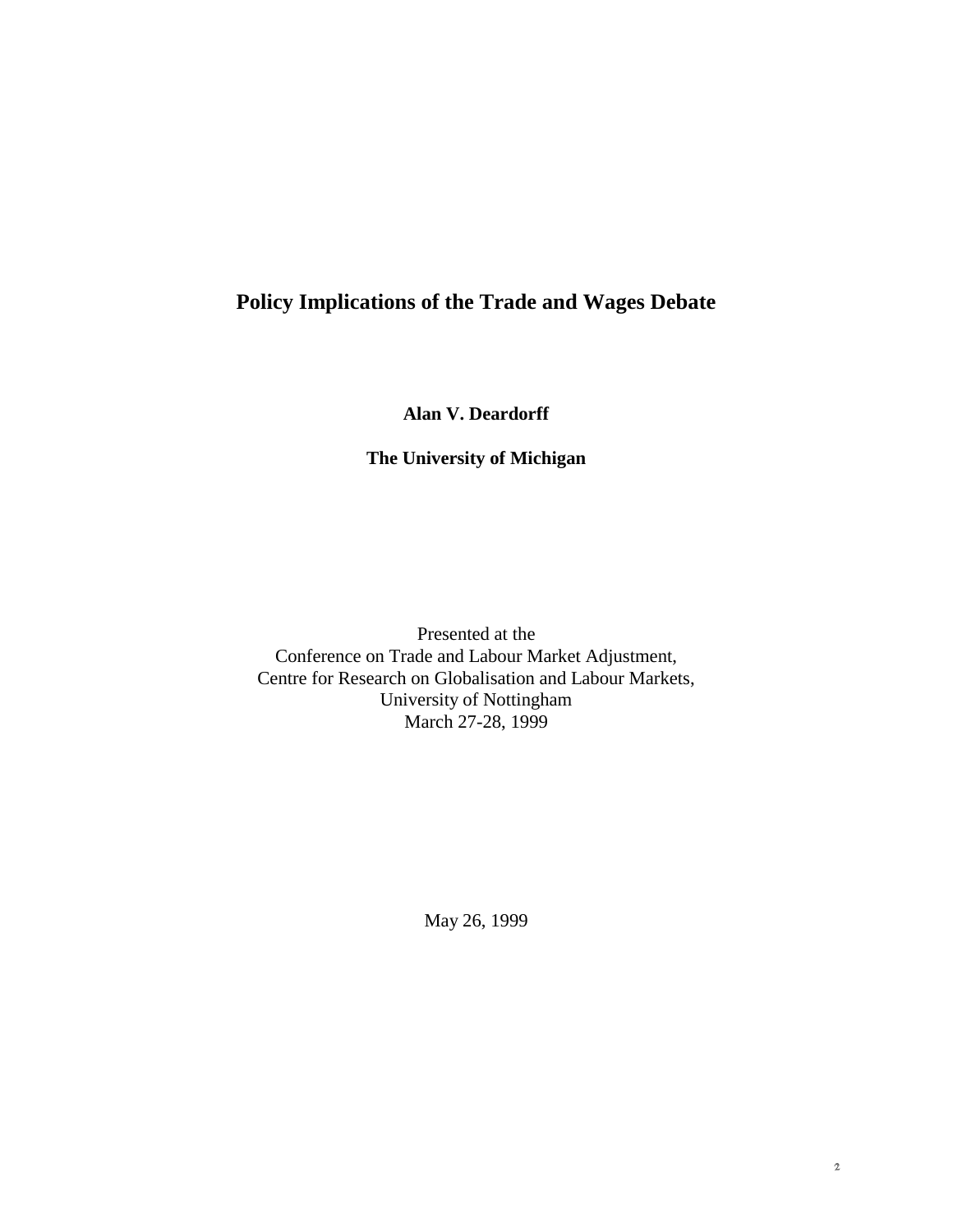## **Policy Implications of the Trade and Wages Debate**

**Alan V. Deardorff**

## **The University of Michigan**

Presented at the Conference on Trade and Labour Market Adjustment, Centre for Research on Globalisation and Labour Markets, University of Nottingham March 27-28, 1999

May 26, 1999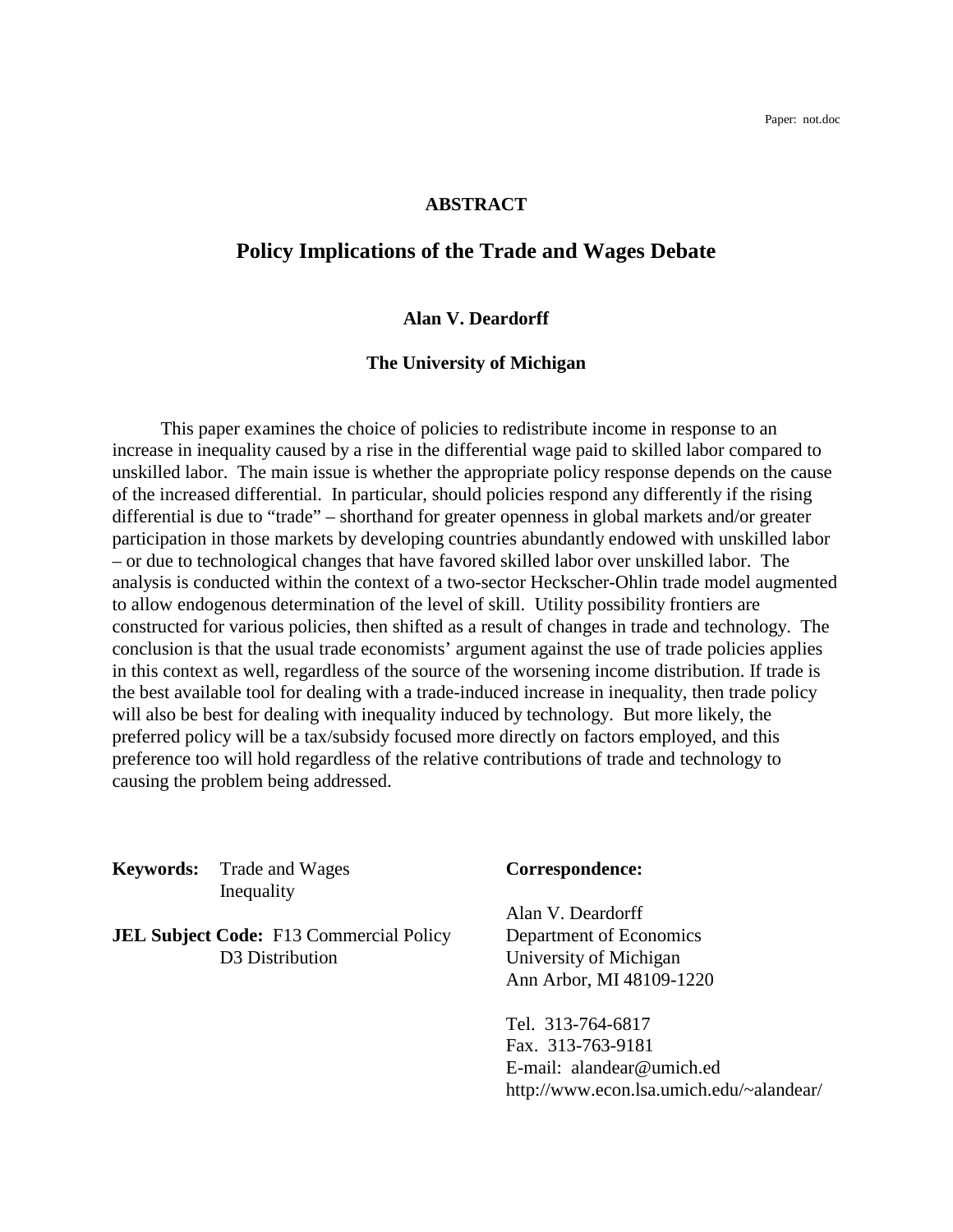#### **ABSTRACT**

## **Policy Implications of the Trade and Wages Debate**

### **Alan V. Deardorff**

#### **The University of Michigan**

This paper examines the choice of policies to redistribute income in response to an increase in inequality caused by a rise in the differential wage paid to skilled labor compared to unskilled labor. The main issue is whether the appropriate policy response depends on the cause of the increased differential. In particular, should policies respond any differently if the rising differential is due to "trade" – shorthand for greater openness in global markets and/or greater participation in those markets by developing countries abundantly endowed with unskilled labor – or due to technological changes that have favored skilled labor over unskilled labor. The analysis is conducted within the context of a two-sector Heckscher-Ohlin trade model augmented to allow endogenous determination of the level of skill. Utility possibility frontiers are constructed for various policies, then shifted as a result of changes in trade and technology. The conclusion is that the usual trade economists' argument against the use of trade policies applies in this context as well, regardless of the source of the worsening income distribution. If trade is the best available tool for dealing with a trade-induced increase in inequality, then trade policy will also be best for dealing with inequality induced by technology. But more likely, the preferred policy will be a tax/subsidy focused more directly on factors employed, and this preference too will hold regardless of the relative contributions of trade and technology to causing the problem being addressed.

**Keywords:** Trade and Wages **Correspondence:** Inequality

**JEL Subject Code:** F13 Commercial Policy Department of Economics D3 Distribution University of Michigan

Alan V. Deardorff Ann Arbor, MI 48109-1220

Tel. 313-764-6817 Fax. 313-763-9181 E-mail: alandear@umich.ed http://www.econ.lsa.umich.edu/~alandear/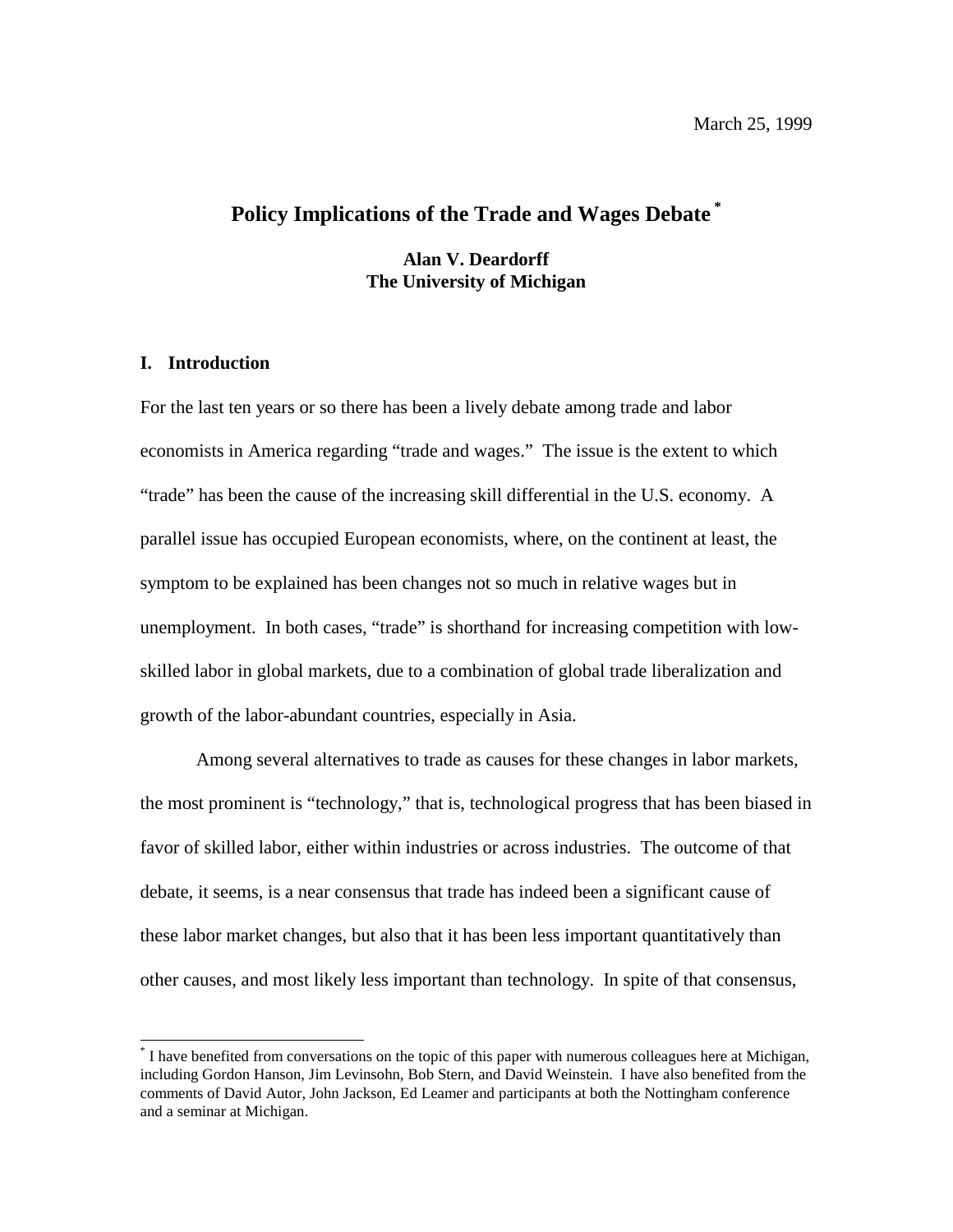## **Policy Implications of the Trade and Wages Debate \***

**Alan V. Deardorff The University of Michigan**

#### **I. Introduction**

 $\overline{a}$ 

For the last ten years or so there has been a lively debate among trade and labor economists in America regarding "trade and wages." The issue is the extent to which "trade" has been the cause of the increasing skill differential in the U.S. economy. A parallel issue has occupied European economists, where, on the continent at least, the symptom to be explained has been changes not so much in relative wages but in unemployment. In both cases, "trade" is shorthand for increasing competition with lowskilled labor in global markets, due to a combination of global trade liberalization and growth of the labor-abundant countries, especially in Asia.

Among several alternatives to trade as causes for these changes in labor markets, the most prominent is "technology," that is, technological progress that has been biased in favor of skilled labor, either within industries or across industries. The outcome of that debate, it seems, is a near consensus that trade has indeed been a significant cause of these labor market changes, but also that it has been less important quantitatively than other causes, and most likely less important than technology. In spite of that consensus,

<sup>\*</sup> I have benefited from conversations on the topic of this paper with numerous colleagues here at Michigan, including Gordon Hanson, Jim Levinsohn, Bob Stern, and David Weinstein. I have also benefited from the comments of David Autor, John Jackson, Ed Leamer and participants at both the Nottingham conference and a seminar at Michigan.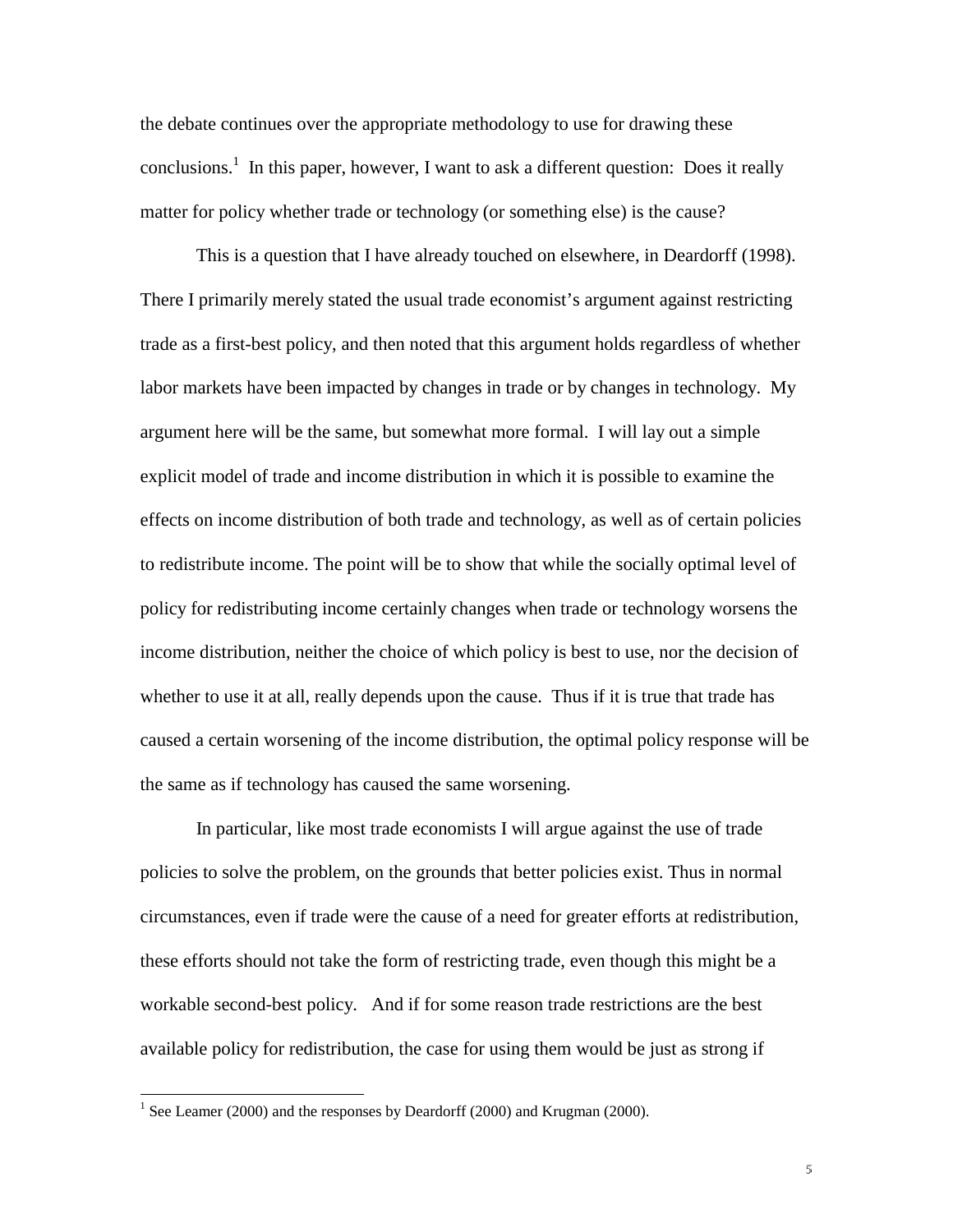the debate continues over the appropriate methodology to use for drawing these conclusions.<sup>1</sup> In this paper, however, I want to ask a different question: Does it really matter for policy whether trade or technology (or something else) is the cause?

This is a question that I have already touched on elsewhere, in Deardorff (1998). There I primarily merely stated the usual trade economist's argument against restricting trade as a first-best policy, and then noted that this argument holds regardless of whether labor markets have been impacted by changes in trade or by changes in technology. My argument here will be the same, but somewhat more formal. I will lay out a simple explicit model of trade and income distribution in which it is possible to examine the effects on income distribution of both trade and technology, as well as of certain policies to redistribute income. The point will be to show that while the socially optimal level of policy for redistributing income certainly changes when trade or technology worsens the income distribution, neither the choice of which policy is best to use, nor the decision of whether to use it at all, really depends upon the cause. Thus if it is true that trade has caused a certain worsening of the income distribution, the optimal policy response will be the same as if technology has caused the same worsening.

In particular, like most trade economists I will argue against the use of trade policies to solve the problem, on the grounds that better policies exist. Thus in normal circumstances, even if trade were the cause of a need for greater efforts at redistribution, these efforts should not take the form of restricting trade, even though this might be a workable second-best policy. And if for some reason trade restrictions are the best available policy for redistribution, the case for using them would be just as strong if

 $\overline{a}$ 

<sup>&</sup>lt;sup>1</sup> See Leamer (2000) and the responses by Deardorff (2000) and Krugman (2000).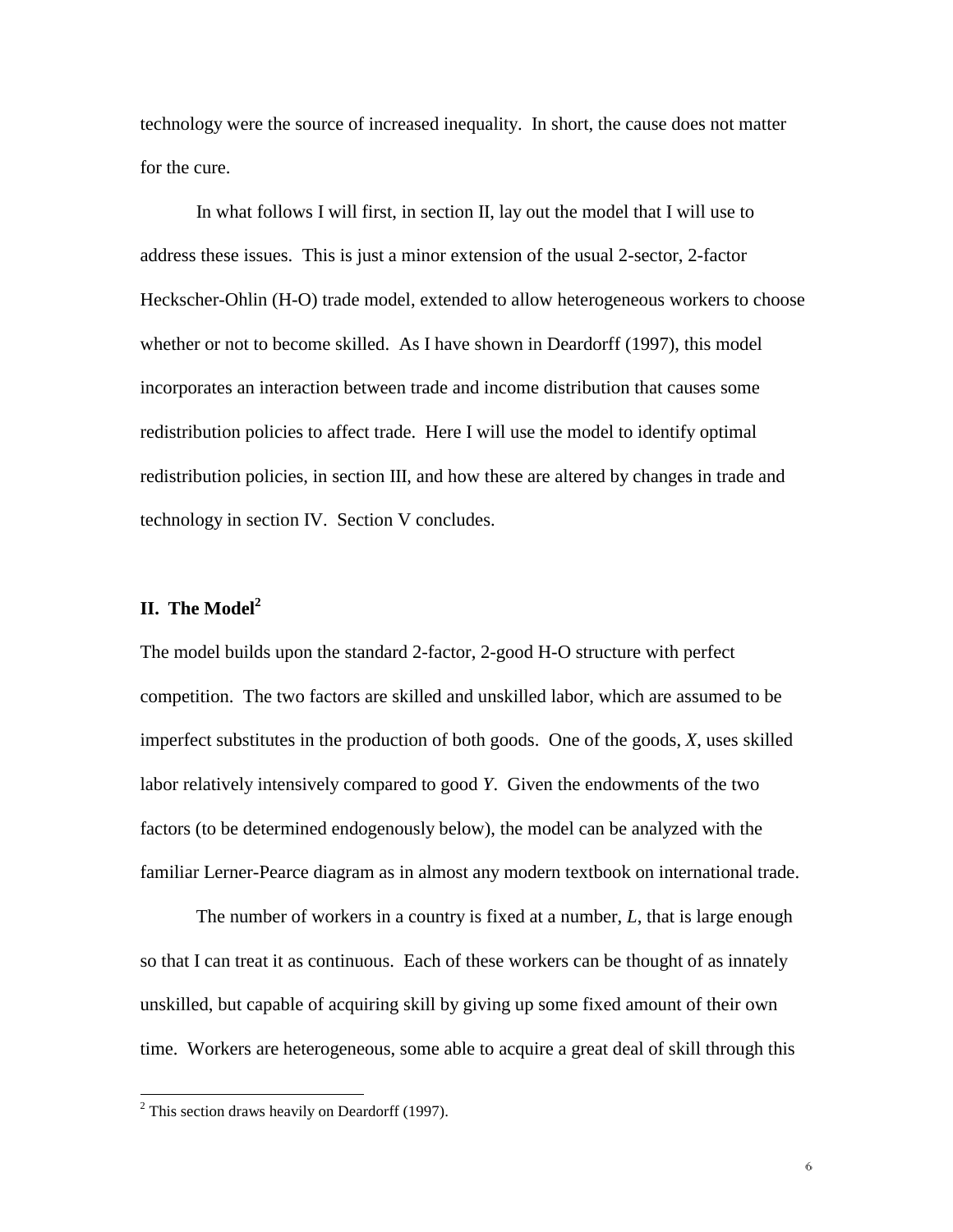technology were the source of increased inequality. In short, the cause does not matter for the cure.

In what follows I will first, in section II, lay out the model that I will use to address these issues. This is just a minor extension of the usual 2-sector, 2-factor Heckscher-Ohlin (H-O) trade model, extended to allow heterogeneous workers to choose whether or not to become skilled. As I have shown in Deardorff (1997), this model incorporates an interaction between trade and income distribution that causes some redistribution policies to affect trade. Here I will use the model to identify optimal redistribution policies, in section III, and how these are altered by changes in trade and technology in section IV. Section V concludes.

### **II. The Model<sup>2</sup>**

The model builds upon the standard 2-factor, 2-good H-O structure with perfect competition. The two factors are skilled and unskilled labor, which are assumed to be imperfect substitutes in the production of both goods. One of the goods, *X*, uses skilled labor relatively intensively compared to good *Y*. Given the endowments of the two factors (to be determined endogenously below), the model can be analyzed with the familiar Lerner-Pearce diagram as in almost any modern textbook on international trade.

The number of workers in a country is fixed at a number, *L*, that is large enough so that I can treat it as continuous. Each of these workers can be thought of as innately unskilled, but capable of acquiring skill by giving up some fixed amount of their own time. Workers are heterogeneous, some able to acquire a great deal of skill through this

 $\overline{a}$ 

 $2$  This section draws heavily on Deardorff (1997).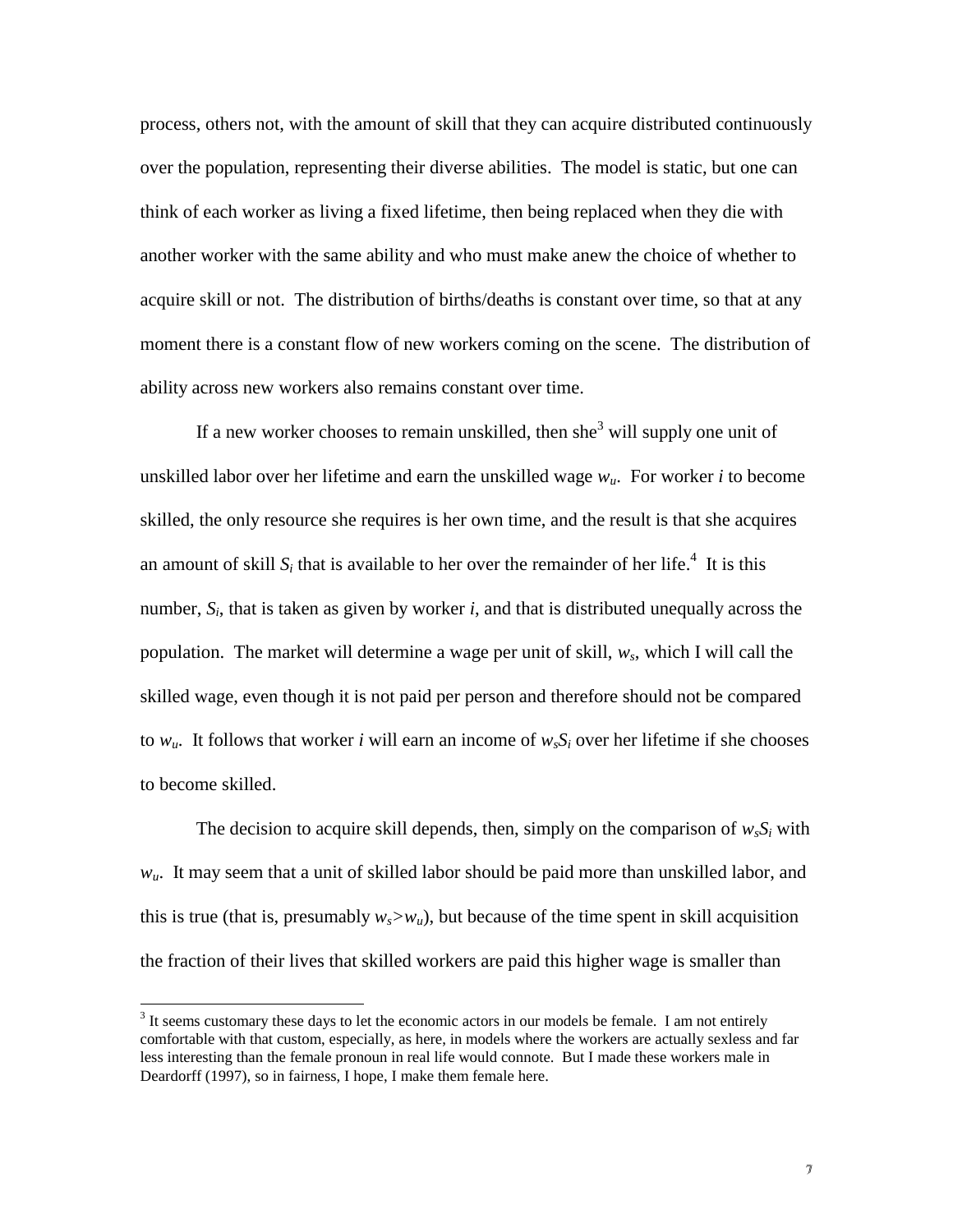process, others not, with the amount of skill that they can acquire distributed continuously over the population, representing their diverse abilities. The model is static, but one can think of each worker as living a fixed lifetime, then being replaced when they die with another worker with the same ability and who must make anew the choice of whether to acquire skill or not. The distribution of births/deaths is constant over time, so that at any moment there is a constant flow of new workers coming on the scene. The distribution of ability across new workers also remains constant over time.

If a new worker chooses to remain unskilled, then she<sup>3</sup> will supply one unit of unskilled labor over her lifetime and earn the unskilled wage *wu*. For worker *i* to become skilled, the only resource she requires is her own time, and the result is that she acquires an amount of skill  $S_i$  that is available to her over the remainder of her life.<sup>4</sup> It is this number,  $S_i$ , that is taken as given by worker *i*, and that is distributed unequally across the population. The market will determine a wage per unit of skill, *ws*, which I will call the skilled wage, even though it is not paid per person and therefore should not be compared to  $w_u$ . It follows that worker *i* will earn an income of  $w_s S_i$  over her lifetime if she chooses to become skilled.

The decision to acquire skill depends, then, simply on the comparison of  $w_s S_i$  with  $w_{\mu}$ . It may seem that a unit of skilled labor should be paid more than unskilled labor, and this is true (that is, presumably  $w_s > w_u$ ), but because of the time spent in skill acquisition the fraction of their lives that skilled workers are paid this higher wage is smaller than

 $\overline{a}$ 

 $3$  It seems customary these days to let the economic actors in our models be female. I am not entirely comfortable with that custom, especially, as here, in models where the workers are actually sexless and far less interesting than the female pronoun in real life would connote. But I made these workers male in Deardorff (1997), so in fairness, I hope, I make them female here.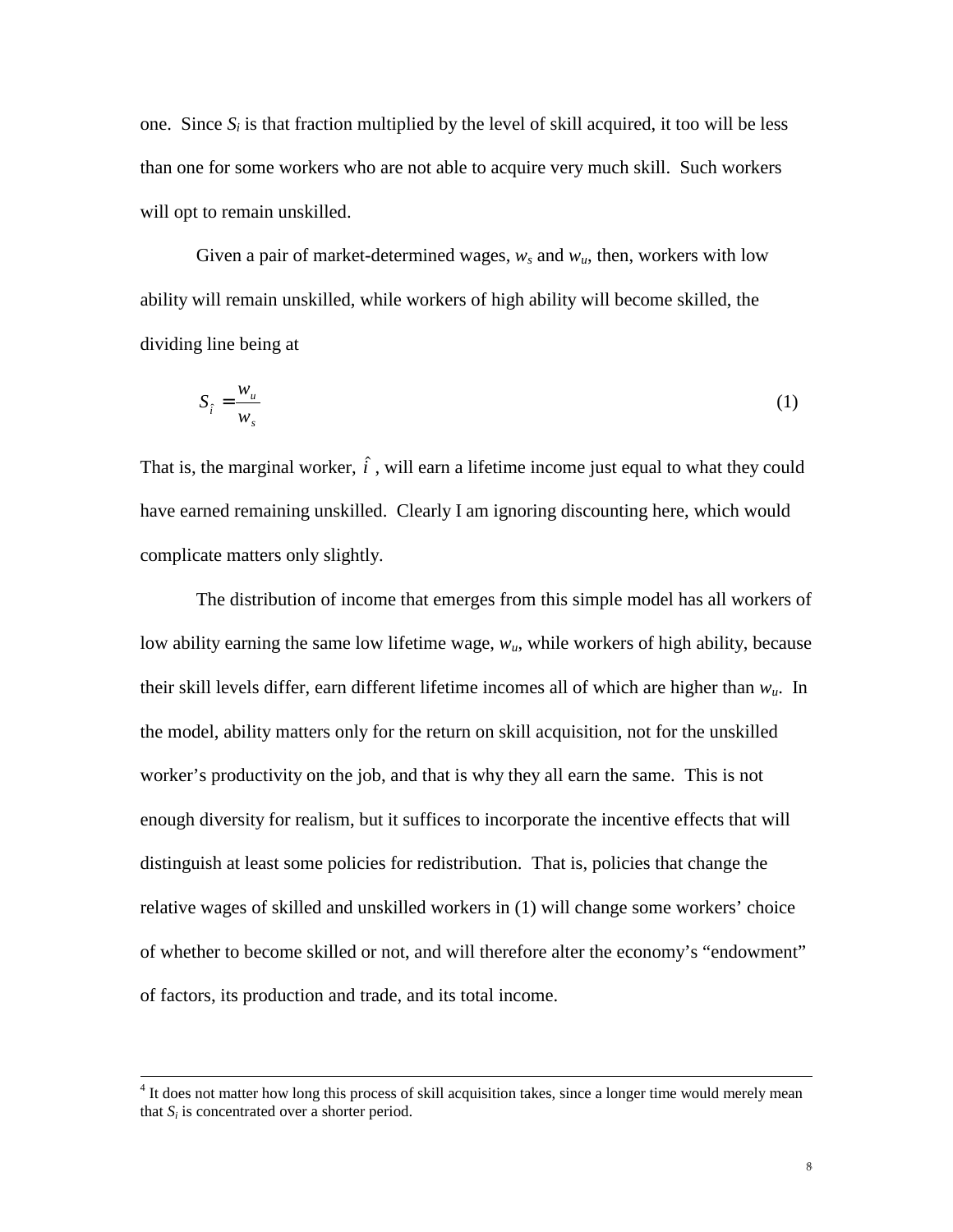one. Since  $S_i$  is that fraction multiplied by the level of skill acquired, it too will be less than one for some workers who are not able to acquire very much skill. Such workers will opt to remain unskilled.

Given a pair of market-determined wages,  $w_s$  and  $w_u$ , then, workers with low ability will remain unskilled, while workers of high ability will become skilled, the dividing line being at

$$
S_{\hat{i}} = \frac{w_u}{w_s} \tag{1}
$$

That is, the marginal worker,  $\hat{i}$ , will earn a lifetime income just equal to what they could have earned remaining unskilled. Clearly I am ignoring discounting here, which would complicate matters only slightly.

The distribution of income that emerges from this simple model has all workers of low ability earning the same low lifetime wage, *wu*, while workers of high ability, because their skill levels differ, earn different lifetime incomes all of which are higher than *wu*. In the model, ability matters only for the return on skill acquisition, not for the unskilled worker's productivity on the job, and that is why they all earn the same. This is not enough diversity for realism, but it suffices to incorporate the incentive effects that will distinguish at least some policies for redistribution. That is, policies that change the relative wages of skilled and unskilled workers in (1) will change some workers' choice of whether to become skilled or not, and will therefore alter the economy's "endowment" of factors, its production and trade, and its total income.

 <sup>4</sup>  $<sup>4</sup>$  It does not matter how long this process of skill acquisition takes, since a longer time would merely mean</sup> that  $S_i$  is concentrated over a shorter period.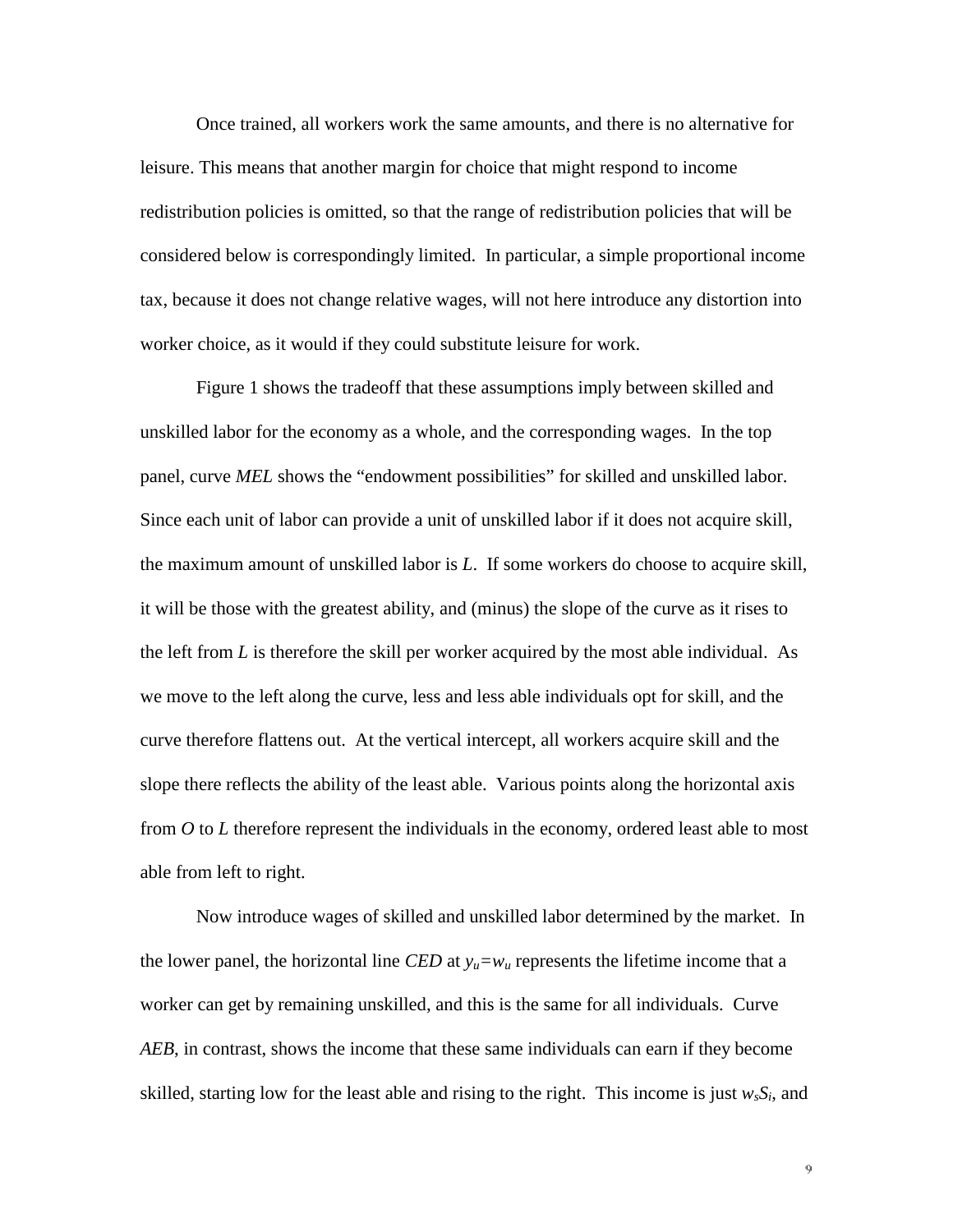Once trained, all workers work the same amounts, and there is no alternative for leisure. This means that another margin for choice that might respond to income redistribution policies is omitted, so that the range of redistribution policies that will be considered below is correspondingly limited. In particular, a simple proportional income tax, because it does not change relative wages, will not here introduce any distortion into worker choice, as it would if they could substitute leisure for work.

Figure 1 shows the tradeoff that these assumptions imply between skilled and unskilled labor for the economy as a whole, and the corresponding wages. In the top panel, curve *MEL* shows the "endowment possibilities" for skilled and unskilled labor. Since each unit of labor can provide a unit of unskilled labor if it does not acquire skill, the maximum amount of unskilled labor is *L*. If some workers do choose to acquire skill, it will be those with the greatest ability, and (minus) the slope of the curve as it rises to the left from *L* is therefore the skill per worker acquired by the most able individual. As we move to the left along the curve, less and less able individuals opt for skill, and the curve therefore flattens out. At the vertical intercept, all workers acquire skill and the slope there reflects the ability of the least able. Various points along the horizontal axis from *O* to *L* therefore represent the individuals in the economy, ordered least able to most able from left to right.

Now introduce wages of skilled and unskilled labor determined by the market. In the lower panel, the horizontal line *CED* at  $y_u = w_u$  represents the lifetime income that a worker can get by remaining unskilled, and this is the same for all individuals. Curve *AEB*, in contrast, shows the income that these same individuals can earn if they become skilled, starting low for the least able and rising to the right. This income is just  $w_sS_i$ , and

 $\mathbf 9$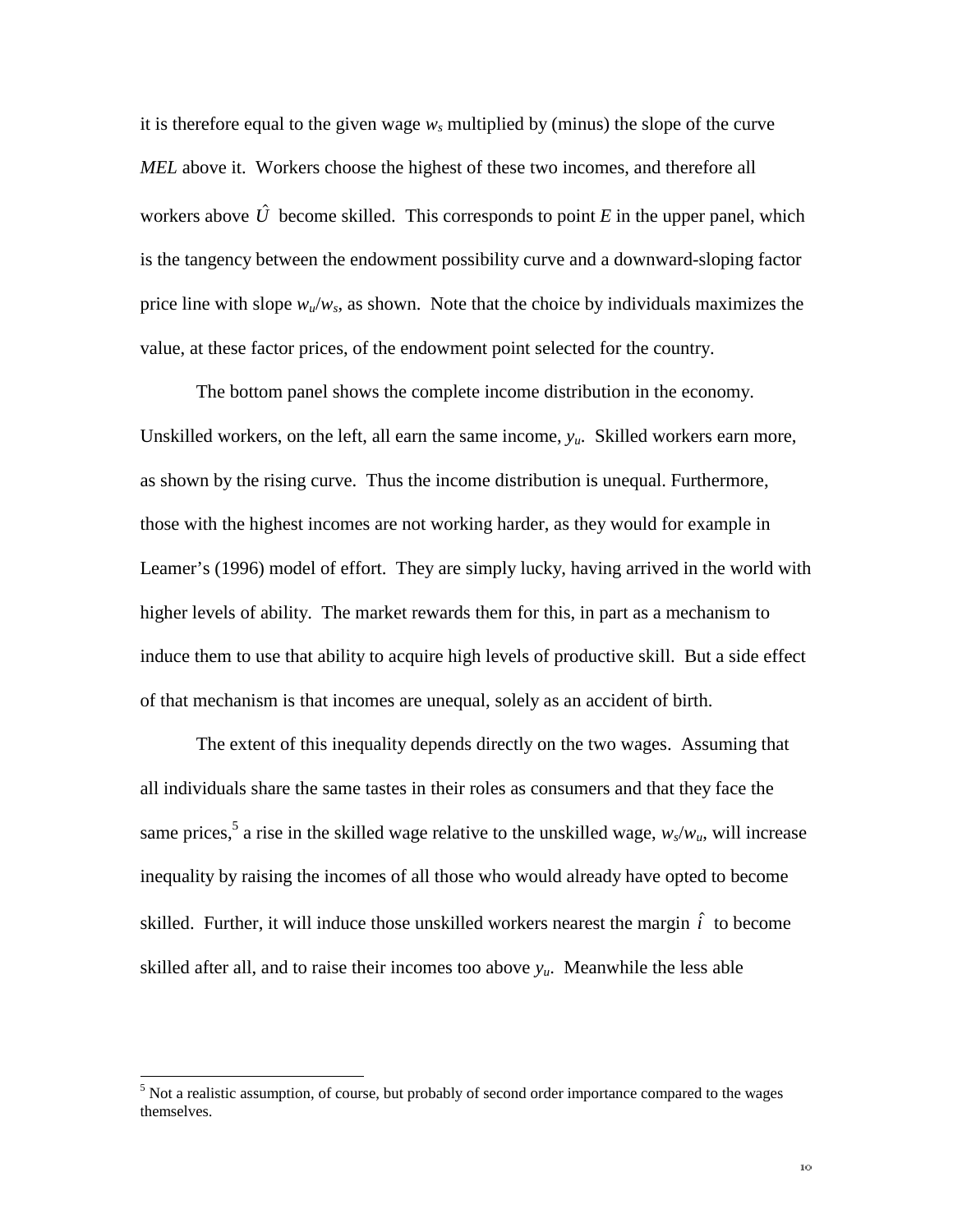it is therefore equal to the given wage  $w_s$  multiplied by (minus) the slope of the curve *MEL* above it. Workers choose the highest of these two incomes, and therefore all workers above  $\hat{U}$  become skilled. This corresponds to point *E* in the upper panel, which is the tangency between the endowment possibility curve and a downward-sloping factor price line with slope  $w_u/w_s$ , as shown. Note that the choice by individuals maximizes the value, at these factor prices, of the endowment point selected for the country.

The bottom panel shows the complete income distribution in the economy. Unskilled workers, on the left, all earn the same income, *yu*. Skilled workers earn more, as shown by the rising curve. Thus the income distribution is unequal. Furthermore, those with the highest incomes are not working harder, as they would for example in Leamer's (1996) model of effort. They are simply lucky, having arrived in the world with higher levels of ability. The market rewards them for this, in part as a mechanism to induce them to use that ability to acquire high levels of productive skill. But a side effect of that mechanism is that incomes are unequal, solely as an accident of birth.

The extent of this inequality depends directly on the two wages. Assuming that all individuals share the same tastes in their roles as consumers and that they face the same prices,<sup>5</sup> a rise in the skilled wage relative to the unskilled wage,  $w_s/w_u$ , will increase inequality by raising the incomes of all those who would already have opted to become skilled. Further, it will induce those unskilled workers nearest the margin  $\hat{i}$  to become skilled after all, and to raise their incomes too above  $y_u$ . Meanwhile the less able

<sup>&</sup>lt;sup>5</sup> Not a realistic assumption, of course, but probably of second order importance compared to the wages themselves.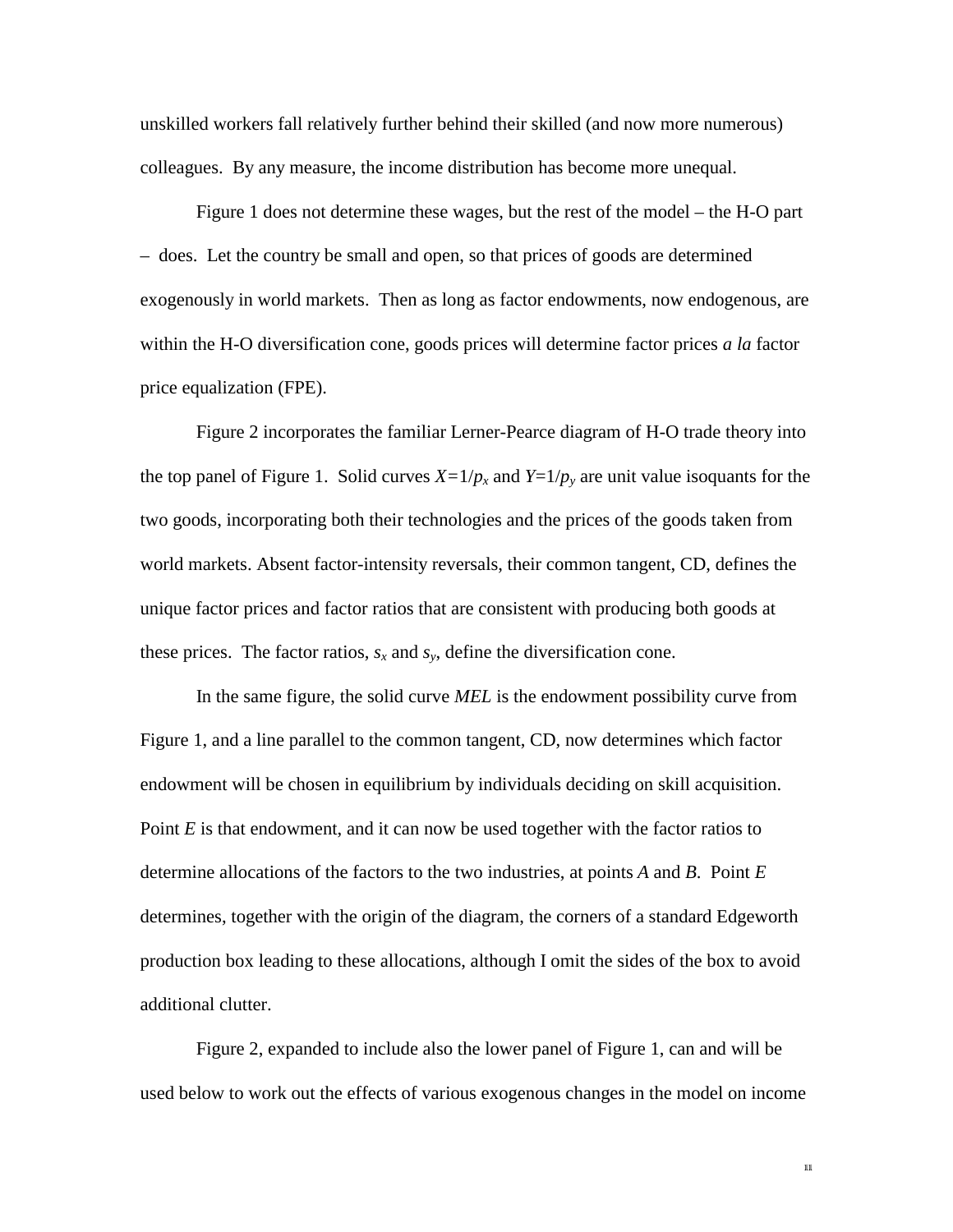unskilled workers fall relatively further behind their skilled (and now more numerous) colleagues. By any measure, the income distribution has become more unequal.

Figure 1 does not determine these wages, but the rest of the model – the H-O part – does. Let the country be small and open, so that prices of goods are determined exogenously in world markets. Then as long as factor endowments, now endogenous, are within the H-O diversification cone, goods prices will determine factor prices *a la* factor price equalization (FPE).

Figure 2 incorporates the familiar Lerner-Pearce diagram of H-O trade theory into the top panel of Figure 1. Solid curves  $X=1/p_x$  and  $Y=1/p_y$  are unit value isoquants for the two goods, incorporating both their technologies and the prices of the goods taken from world markets. Absent factor-intensity reversals, their common tangent, CD, defines the unique factor prices and factor ratios that are consistent with producing both goods at these prices. The factor ratios,  $s_x$  and  $s_y$ , define the diversification cone.

In the same figure, the solid curve *MEL* is the endowment possibility curve from Figure 1, and a line parallel to the common tangent, CD, now determines which factor endowment will be chosen in equilibrium by individuals deciding on skill acquisition. Point *E* is that endowment, and it can now be used together with the factor ratios to determine allocations of the factors to the two industries, at points *A* and *B*. Point *E* determines, together with the origin of the diagram, the corners of a standard Edgeworth production box leading to these allocations, although I omit the sides of the box to avoid additional clutter.

Figure 2, expanded to include also the lower panel of Figure 1, can and will be used below to work out the effects of various exogenous changes in the model on income

 $111$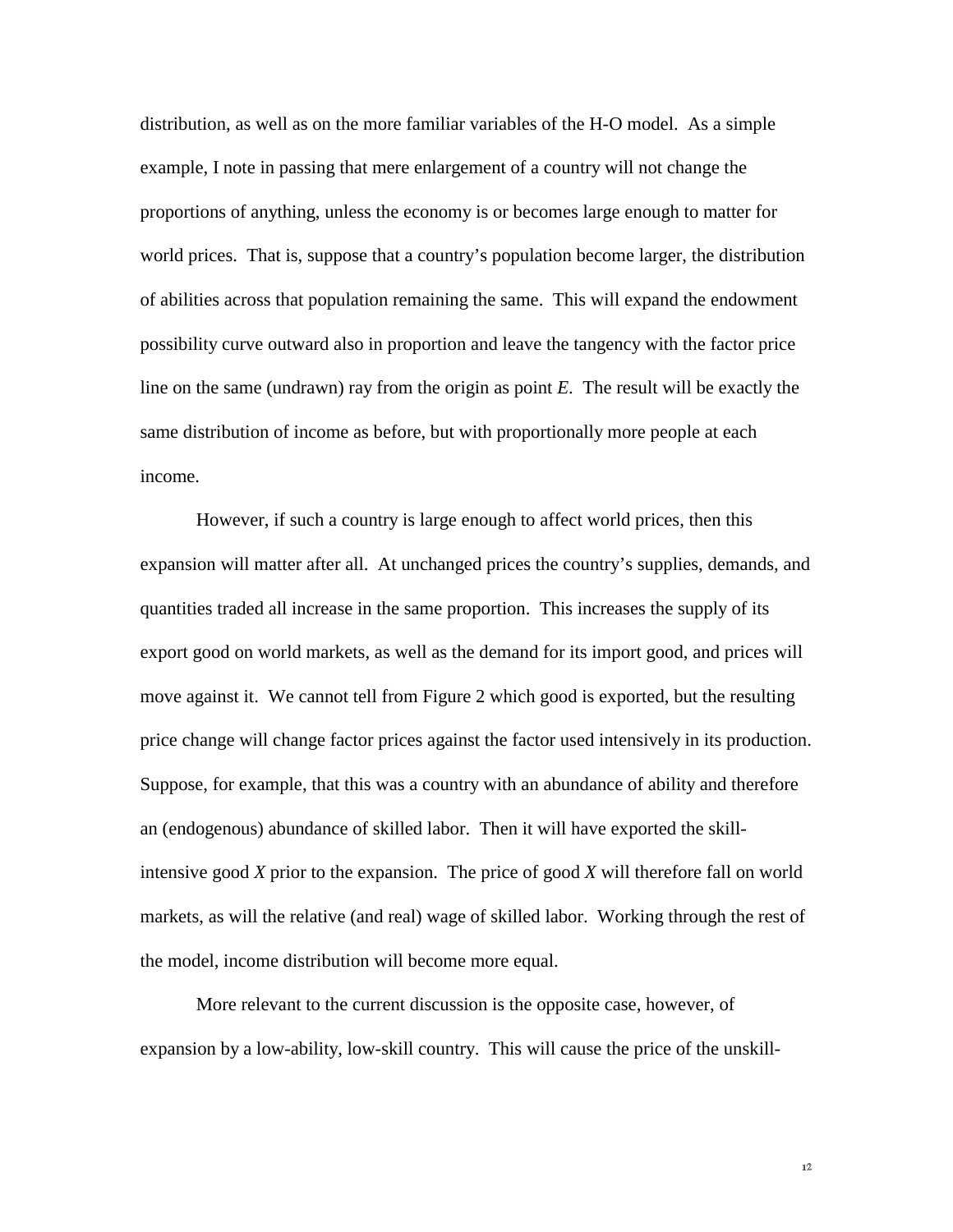distribution, as well as on the more familiar variables of the H-O model. As a simple example, I note in passing that mere enlargement of a country will not change the proportions of anything, unless the economy is or becomes large enough to matter for world prices. That is, suppose that a country's population become larger, the distribution of abilities across that population remaining the same. This will expand the endowment possibility curve outward also in proportion and leave the tangency with the factor price line on the same (undrawn) ray from the origin as point *E*. The result will be exactly the same distribution of income as before, but with proportionally more people at each income.

However, if such a country is large enough to affect world prices, then this expansion will matter after all. At unchanged prices the country's supplies, demands, and quantities traded all increase in the same proportion. This increases the supply of its export good on world markets, as well as the demand for its import good, and prices will move against it. We cannot tell from Figure 2 which good is exported, but the resulting price change will change factor prices against the factor used intensively in its production. Suppose, for example, that this was a country with an abundance of ability and therefore an (endogenous) abundance of skilled labor. Then it will have exported the skillintensive good *X* prior to the expansion. The price of good *X* will therefore fall on world markets, as will the relative (and real) wage of skilled labor. Working through the rest of the model, income distribution will become more equal.

More relevant to the current discussion is the opposite case, however, of expansion by a low-ability, low-skill country. This will cause the price of the unskill-

 $12$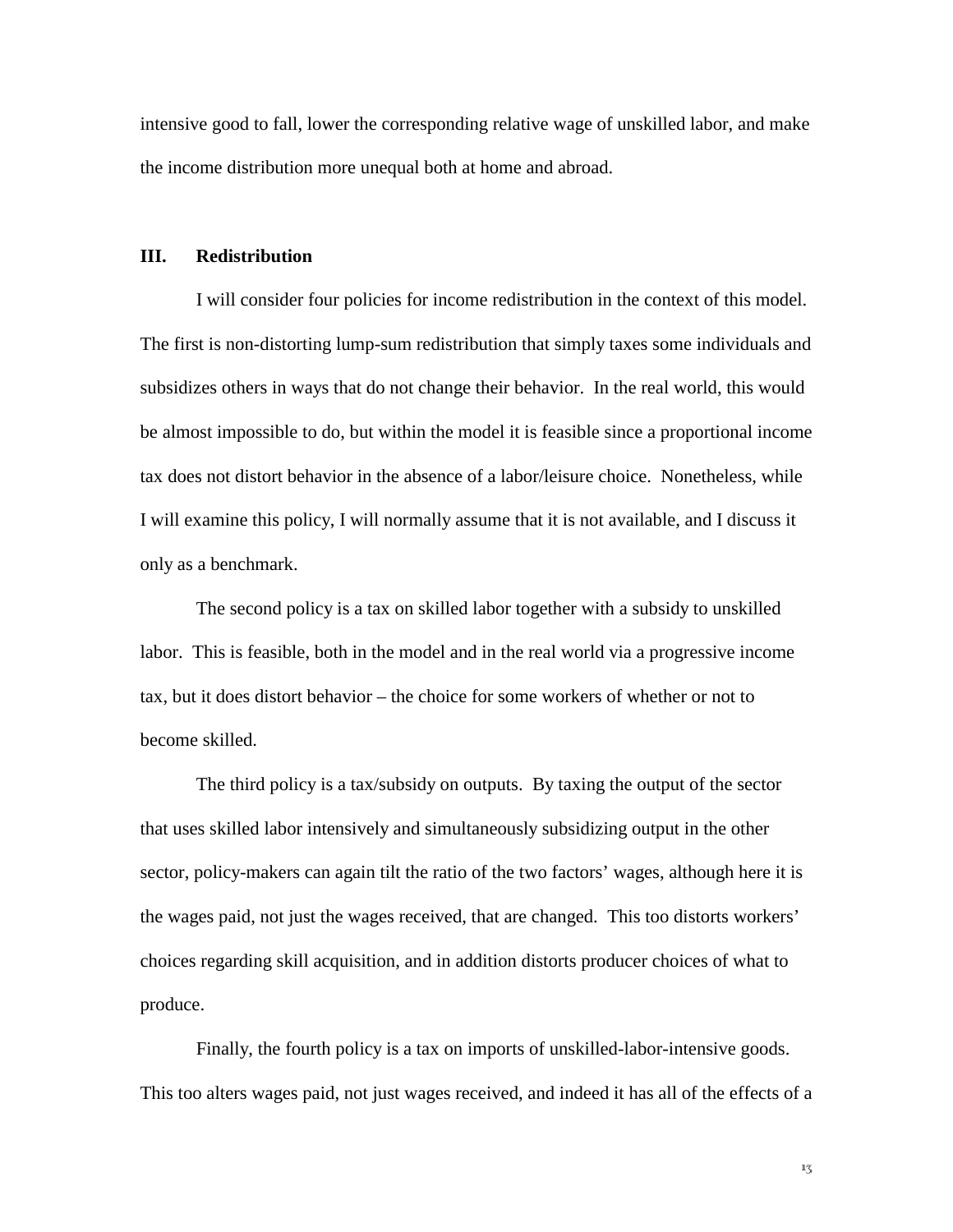intensive good to fall, lower the corresponding relative wage of unskilled labor, and make the income distribution more unequal both at home and abroad.

#### **III. Redistribution**

I will consider four policies for income redistribution in the context of this model. The first is non-distorting lump-sum redistribution that simply taxes some individuals and subsidizes others in ways that do not change their behavior. In the real world, this would be almost impossible to do, but within the model it is feasible since a proportional income tax does not distort behavior in the absence of a labor/leisure choice. Nonetheless, while I will examine this policy, I will normally assume that it is not available, and I discuss it only as a benchmark.

The second policy is a tax on skilled labor together with a subsidy to unskilled labor. This is feasible, both in the model and in the real world via a progressive income tax, but it does distort behavior – the choice for some workers of whether or not to become skilled.

The third policy is a tax/subsidy on outputs. By taxing the output of the sector that uses skilled labor intensively and simultaneously subsidizing output in the other sector, policy-makers can again tilt the ratio of the two factors' wages, although here it is the wages paid, not just the wages received, that are changed. This too distorts workers' choices regarding skill acquisition, and in addition distorts producer choices of what to produce.

Finally, the fourth policy is a tax on imports of unskilled-labor-intensive goods. This too alters wages paid, not just wages received, and indeed it has all of the effects of a

 $1\frac{7}{2}$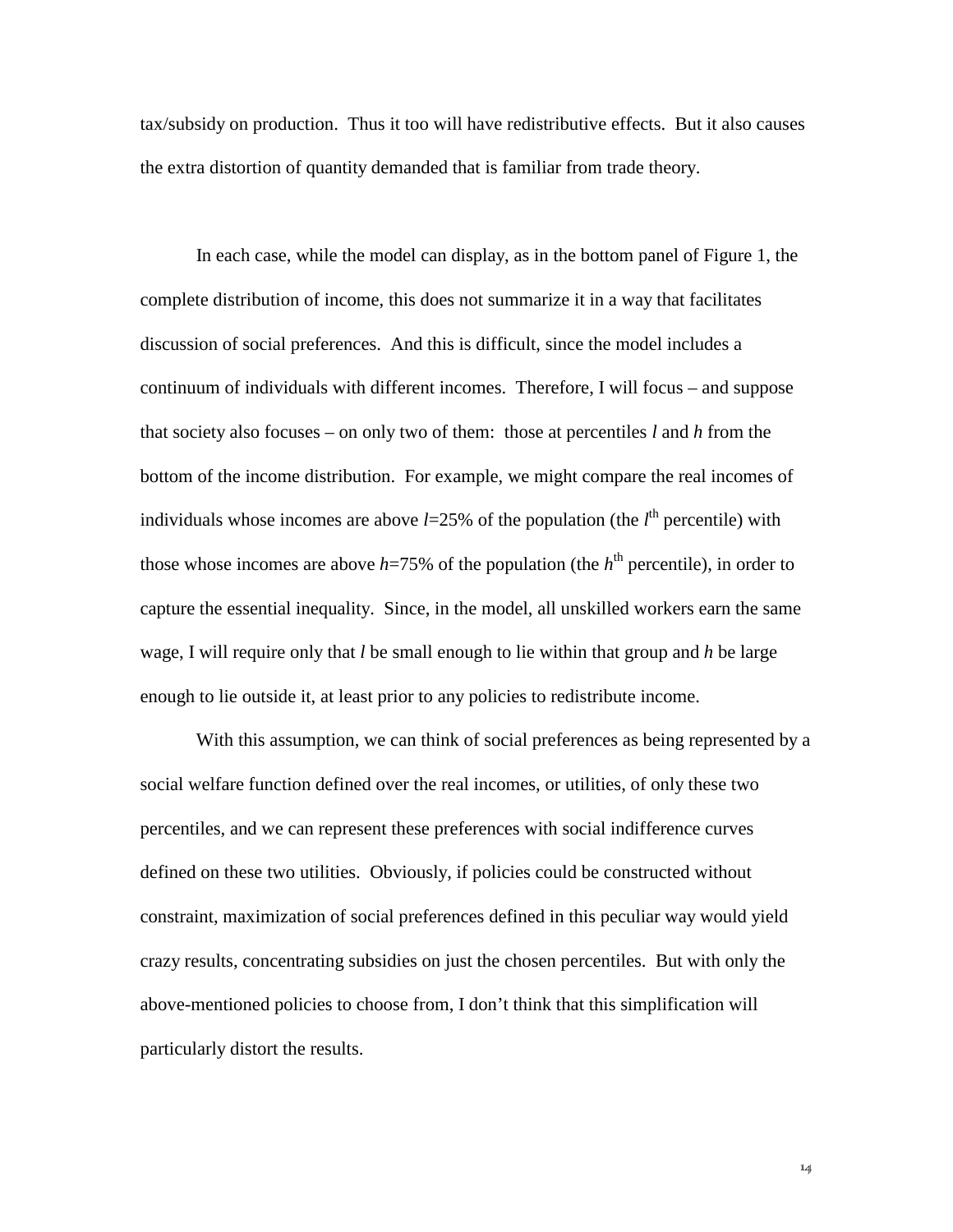tax/subsidy on production. Thus it too will have redistributive effects. But it also causes the extra distortion of quantity demanded that is familiar from trade theory.

In each case, while the model can display, as in the bottom panel of Figure 1, the complete distribution of income, this does not summarize it in a way that facilitates discussion of social preferences. And this is difficult, since the model includes a continuum of individuals with different incomes. Therefore, I will focus – and suppose that society also focuses – on only two of them: those at percentiles *l* and *h* from the bottom of the income distribution. For example, we might compare the real incomes of individuals whose incomes are above  $l=25%$  of the population (the  $l<sup>th</sup>$  percentile) with those whose incomes are above  $h=75\%$  of the population (the  $h<sup>th</sup>$  percentile), in order to capture the essential inequality. Since, in the model, all unskilled workers earn the same wage, I will require only that *l* be small enough to lie within that group and *h* be large enough to lie outside it, at least prior to any policies to redistribute income.

With this assumption, we can think of social preferences as being represented by a social welfare function defined over the real incomes, or utilities, of only these two percentiles, and we can represent these preferences with social indifference curves defined on these two utilities. Obviously, if policies could be constructed without constraint, maximization of social preferences defined in this peculiar way would yield crazy results, concentrating subsidies on just the chosen percentiles. But with only the above-mentioned policies to choose from, I don't think that this simplification will particularly distort the results.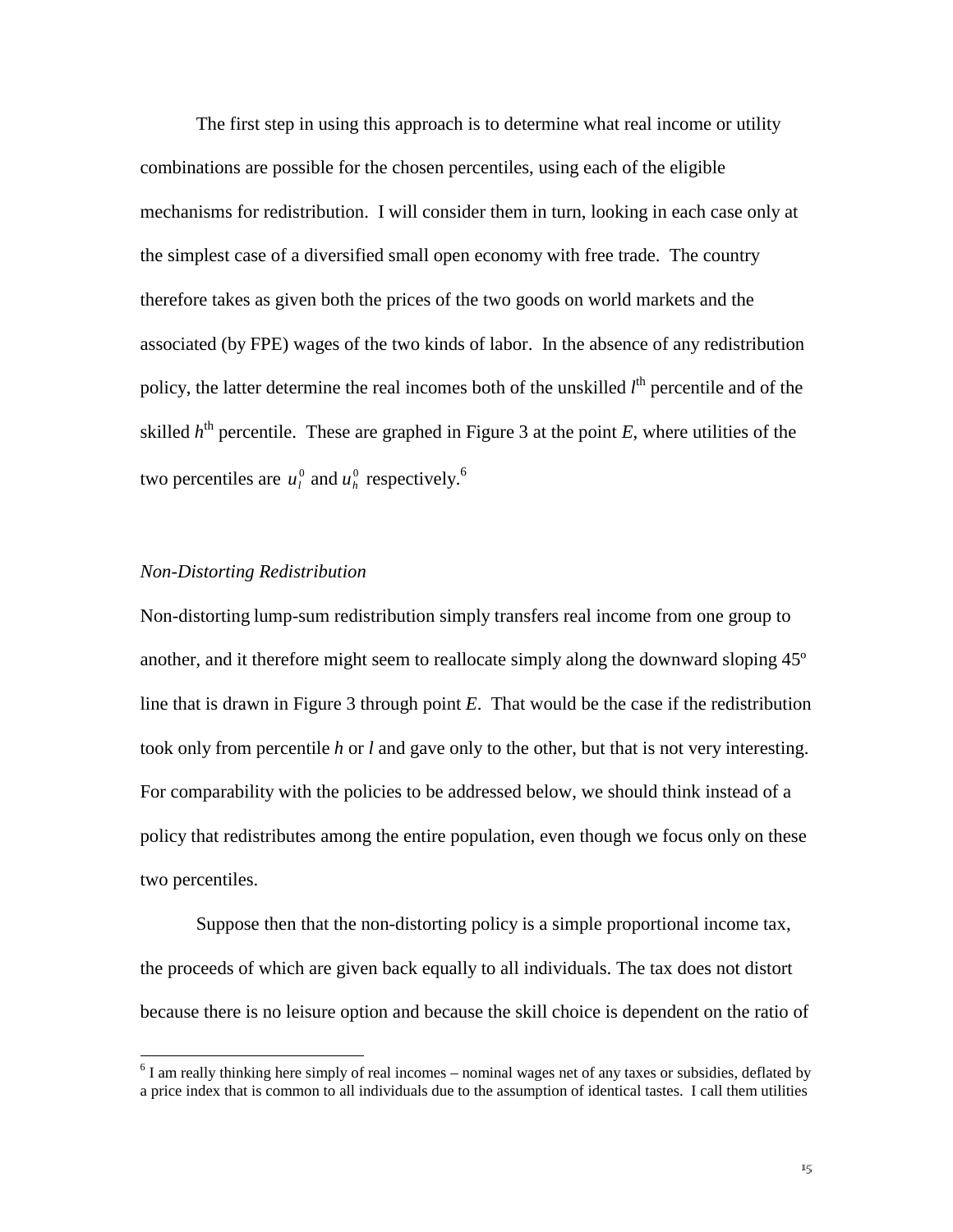The first step in using this approach is to determine what real income or utility combinations are possible for the chosen percentiles, using each of the eligible mechanisms for redistribution. I will consider them in turn, looking in each case only at the simplest case of a diversified small open economy with free trade. The country therefore takes as given both the prices of the two goods on world markets and the associated (by FPE) wages of the two kinds of labor. In the absence of any redistribution policy, the latter determine the real incomes both of the unskilled *l*<sup>th</sup> percentile and of the skilled  $h<sup>th</sup>$  percentile. These are graphed in Figure 3 at the point  $E$ , where utilities of the two percentiles are  $u_l^0$  and  $u_h^0$  respectively.<sup>6</sup>

#### *Non-Distorting Redistribution*

 $\overline{a}$ 

Non-distorting lump-sum redistribution simply transfers real income from one group to another, and it therefore might seem to reallocate simply along the downward sloping 45º line that is drawn in Figure 3 through point *E*. That would be the case if the redistribution took only from percentile *h* or *l* and gave only to the other, but that is not very interesting. For comparability with the policies to be addressed below, we should think instead of a policy that redistributes among the entire population, even though we focus only on these two percentiles.

Suppose then that the non-distorting policy is a simple proportional income tax, the proceeds of which are given back equally to all individuals. The tax does not distort because there is no leisure option and because the skill choice is dependent on the ratio of

 $6$  I am really thinking here simply of real incomes – nominal wages net of any taxes or subsidies, deflated by a price index that is common to all individuals due to the assumption of identical tastes. I call them utilities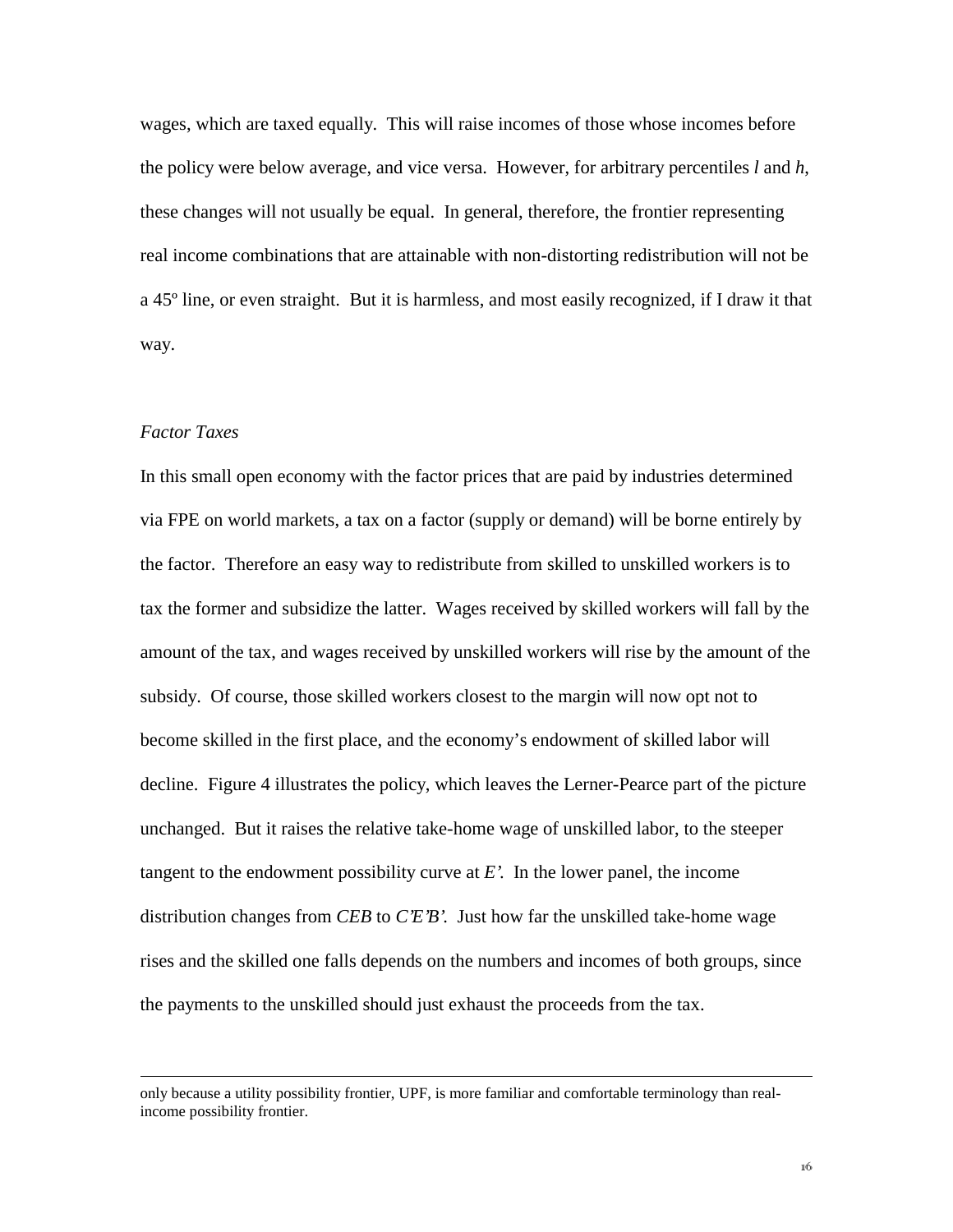wages, which are taxed equally. This will raise incomes of those whose incomes before the policy were below average, and vice versa. However, for arbitrary percentiles *l* and *h*, these changes will not usually be equal. In general, therefore, the frontier representing real income combinations that are attainable with non-distorting redistribution will not be a 45º line, or even straight. But it is harmless, and most easily recognized, if I draw it that way.

#### *Factor Taxes*

 $\overline{a}$ 

In this small open economy with the factor prices that are paid by industries determined via FPE on world markets, a tax on a factor (supply or demand) will be borne entirely by the factor. Therefore an easy way to redistribute from skilled to unskilled workers is to tax the former and subsidize the latter. Wages received by skilled workers will fall by the amount of the tax, and wages received by unskilled workers will rise by the amount of the subsidy. Of course, those skilled workers closest to the margin will now opt not to become skilled in the first place, and the economy's endowment of skilled labor will decline. Figure 4 illustrates the policy, which leaves the Lerner-Pearce part of the picture unchanged. But it raises the relative take-home wage of unskilled labor, to the steeper tangent to the endowment possibility curve at *E'*. In the lower panel, the income distribution changes from *CEB* to *C'E'B'*. Just how far the unskilled take-home wage rises and the skilled one falls depends on the numbers and incomes of both groups, since the payments to the unskilled should just exhaust the proceeds from the tax.

only because a utility possibility frontier, UPF, is more familiar and comfortable terminology than realincome possibility frontier.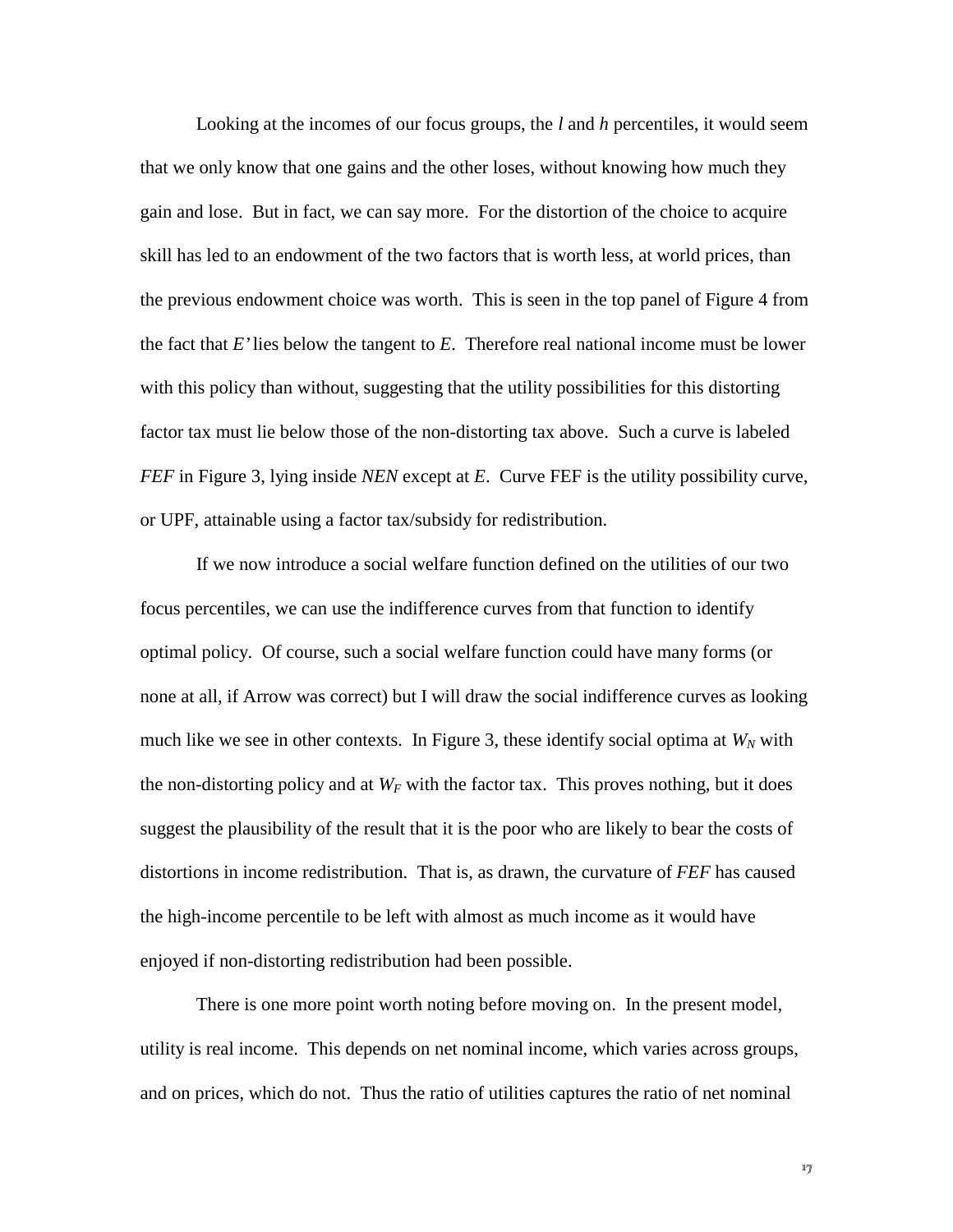Looking at the incomes of our focus groups, the *l* and *h* percentiles, it would seem that we only know that one gains and the other loses, without knowing how much they gain and lose. But in fact, we can say more. For the distortion of the choice to acquire skill has led to an endowment of the two factors that is worth less, at world prices, than the previous endowment choice was worth. This is seen in the top panel of Figure 4 from the fact that *E'* lies below the tangent to *E*. Therefore real national income must be lower with this policy than without, suggesting that the utility possibilities for this distorting factor tax must lie below those of the non-distorting tax above. Such a curve is labeled *FEF* in Figure 3, lying inside *NEN* except at *E*. Curve FEF is the utility possibility curve, or UPF, attainable using a factor tax/subsidy for redistribution.

If we now introduce a social welfare function defined on the utilities of our two focus percentiles, we can use the indifference curves from that function to identify optimal policy. Of course, such a social welfare function could have many forms (or none at all, if Arrow was correct) but I will draw the social indifference curves as looking much like we see in other contexts. In Figure 3, these identify social optima at  $W_N$  with the non-distorting policy and at  $W_F$  with the factor tax. This proves nothing, but it does suggest the plausibility of the result that it is the poor who are likely to bear the costs of distortions in income redistribution. That is, as drawn, the curvature of *FEF* has caused the high-income percentile to be left with almost as much income as it would have enjoyed if non-distorting redistribution had been possible.

There is one more point worth noting before moving on. In the present model, utility is real income. This depends on net nominal income, which varies across groups, and on prices, which do not. Thus the ratio of utilities captures the ratio of net nominal

 $17$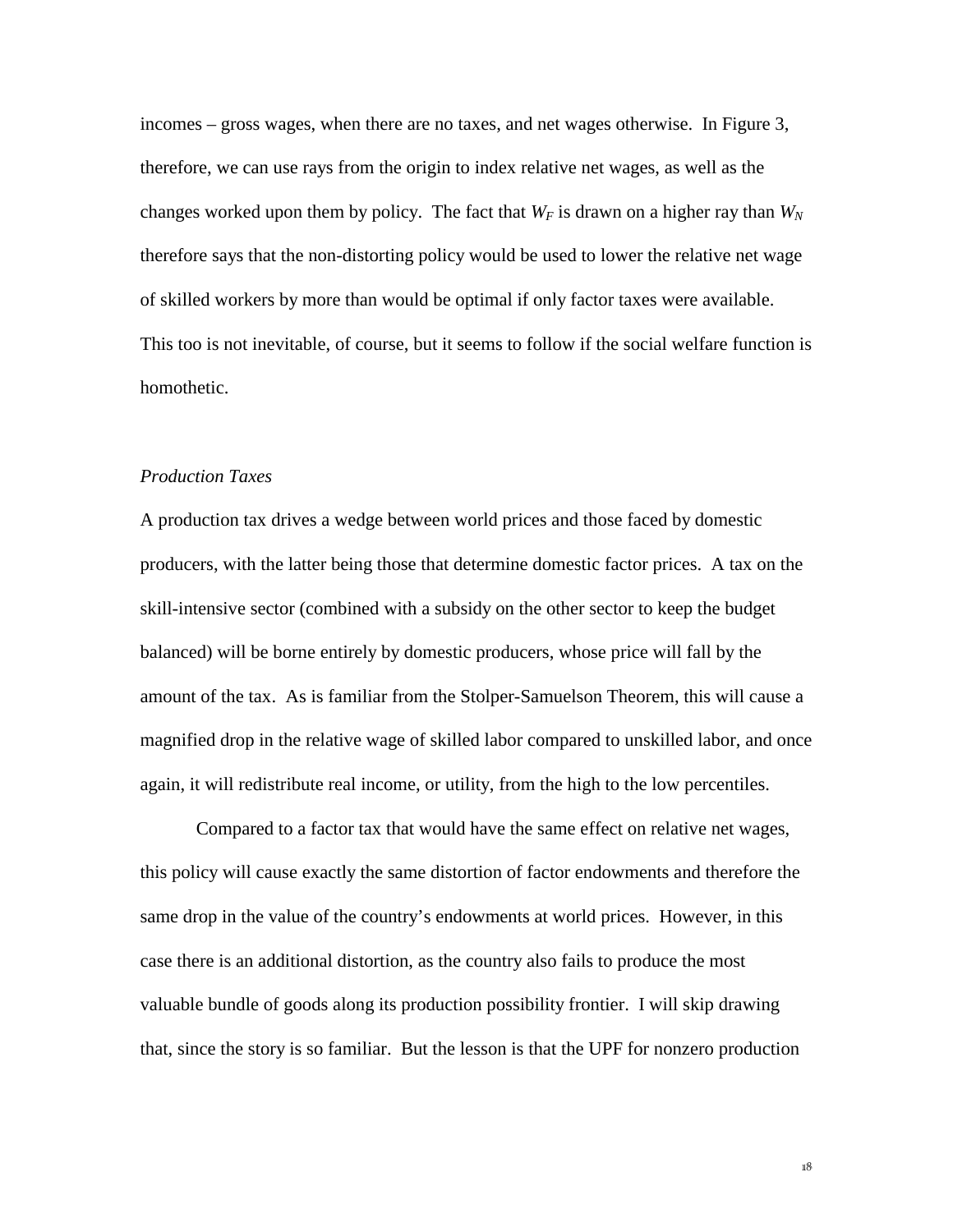incomes – gross wages, when there are no taxes, and net wages otherwise. In Figure 3, therefore, we can use rays from the origin to index relative net wages, as well as the changes worked upon them by policy. The fact that  $W_F$  is drawn on a higher ray than  $W_N$ therefore says that the non-distorting policy would be used to lower the relative net wage of skilled workers by more than would be optimal if only factor taxes were available. This too is not inevitable, of course, but it seems to follow if the social welfare function is homothetic.

#### *Production Taxes*

A production tax drives a wedge between world prices and those faced by domestic producers, with the latter being those that determine domestic factor prices. A tax on the skill-intensive sector (combined with a subsidy on the other sector to keep the budget balanced) will be borne entirely by domestic producers, whose price will fall by the amount of the tax. As is familiar from the Stolper-Samuelson Theorem, this will cause a magnified drop in the relative wage of skilled labor compared to unskilled labor, and once again, it will redistribute real income, or utility, from the high to the low percentiles.

Compared to a factor tax that would have the same effect on relative net wages, this policy will cause exactly the same distortion of factor endowments and therefore the same drop in the value of the country's endowments at world prices. However, in this case there is an additional distortion, as the country also fails to produce the most valuable bundle of goods along its production possibility frontier. I will skip drawing that, since the story is so familiar. But the lesson is that the UPF for nonzero production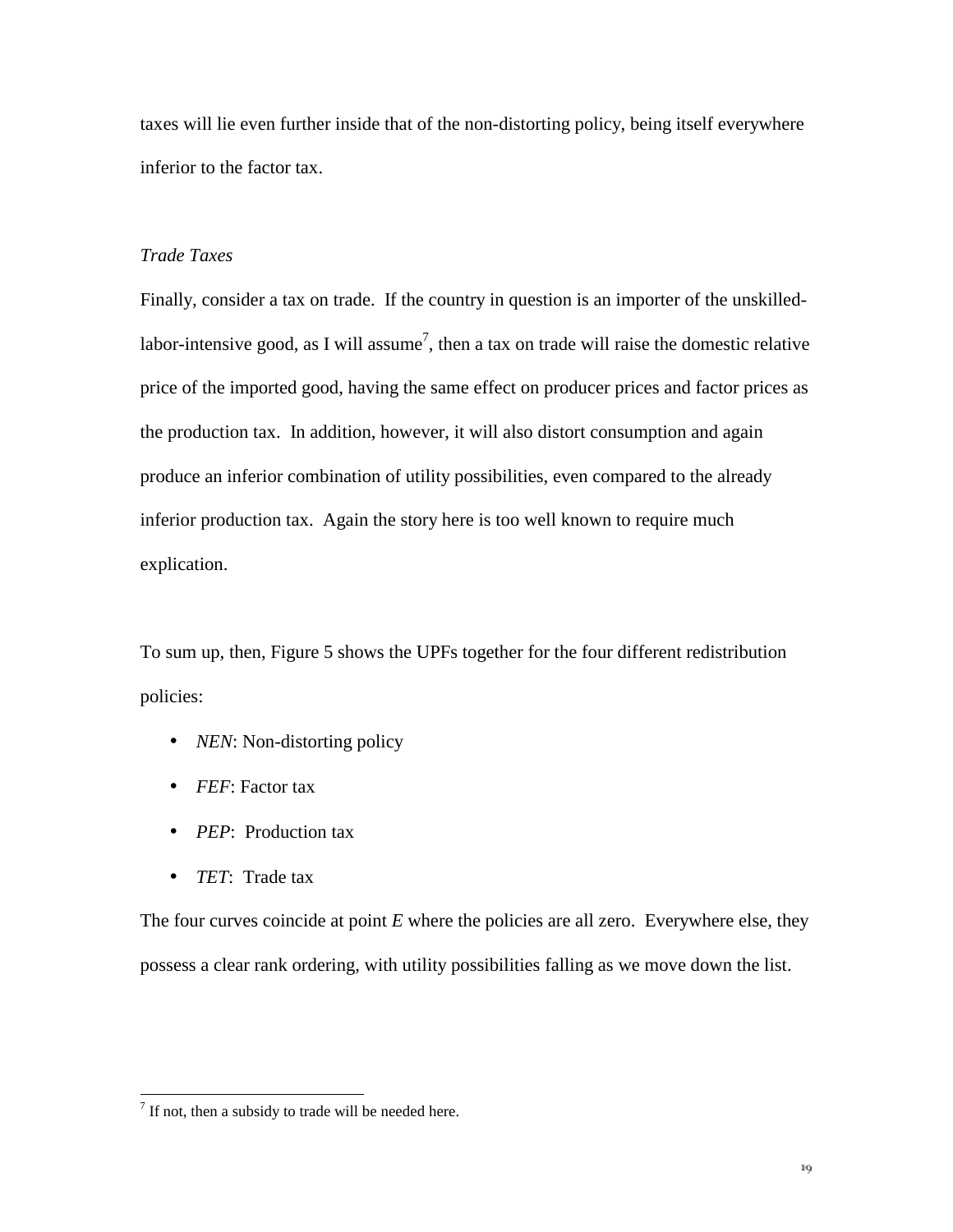taxes will lie even further inside that of the non-distorting policy, being itself everywhere inferior to the factor tax.

#### *Trade Taxes*

Finally, consider a tax on trade. If the country in question is an importer of the unskilledlabor-intensive good, as I will assume<sup>7</sup>, then a tax on trade will raise the domestic relative price of the imported good, having the same effect on producer prices and factor prices as the production tax. In addition, however, it will also distort consumption and again produce an inferior combination of utility possibilities, even compared to the already inferior production tax. Again the story here is too well known to require much explication.

To sum up, then, Figure 5 shows the UPFs together for the four different redistribution policies:

- *NEN*: Non-distorting policy
- *FEF*: Factor tax
- *PEP*: Production tax
- *TET*: Trade tax

 $\overline{a}$ 

The four curves coincide at point *E* where the policies are all zero. Everywhere else, they possess a clear rank ordering, with utility possibilities falling as we move down the list.

 $7$  If not, then a subsidy to trade will be needed here.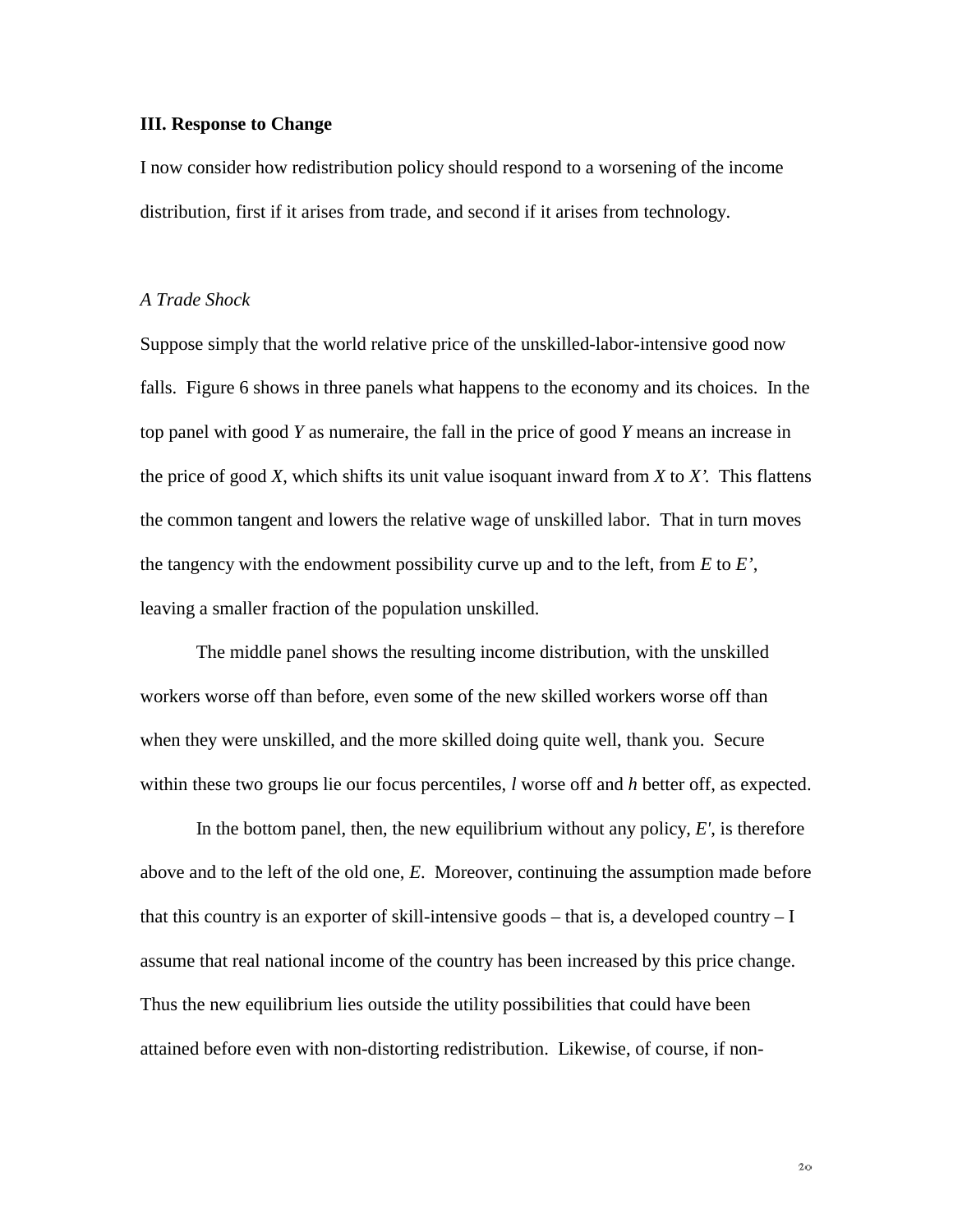#### **III. Response to Change**

I now consider how redistribution policy should respond to a worsening of the income distribution, first if it arises from trade, and second if it arises from technology.

#### *A Trade Shock*

Suppose simply that the world relative price of the unskilled-labor-intensive good now falls. Figure 6 shows in three panels what happens to the economy and its choices. In the top panel with good *Y* as numeraire, the fall in the price of good *Y* means an increase in the price of good *X*, which shifts its unit value isoquant inward from *X* to *X'*. This flattens the common tangent and lowers the relative wage of unskilled labor. That in turn moves the tangency with the endowment possibility curve up and to the left, from *E* to *E'*, leaving a smaller fraction of the population unskilled.

The middle panel shows the resulting income distribution, with the unskilled workers worse off than before, even some of the new skilled workers worse off than when they were unskilled, and the more skilled doing quite well, thank you. Secure within these two groups lie our focus percentiles, *l* worse off and *h* better off, as expected.

In the bottom panel, then, the new equilibrium without any policy, *E'*, is therefore above and to the left of the old one, *E*. Moreover, continuing the assumption made before that this country is an exporter of skill-intensive goods – that is, a developed country  $-I$ assume that real national income of the country has been increased by this price change. Thus the new equilibrium lies outside the utility possibilities that could have been attained before even with non-distorting redistribution. Likewise, of course, if non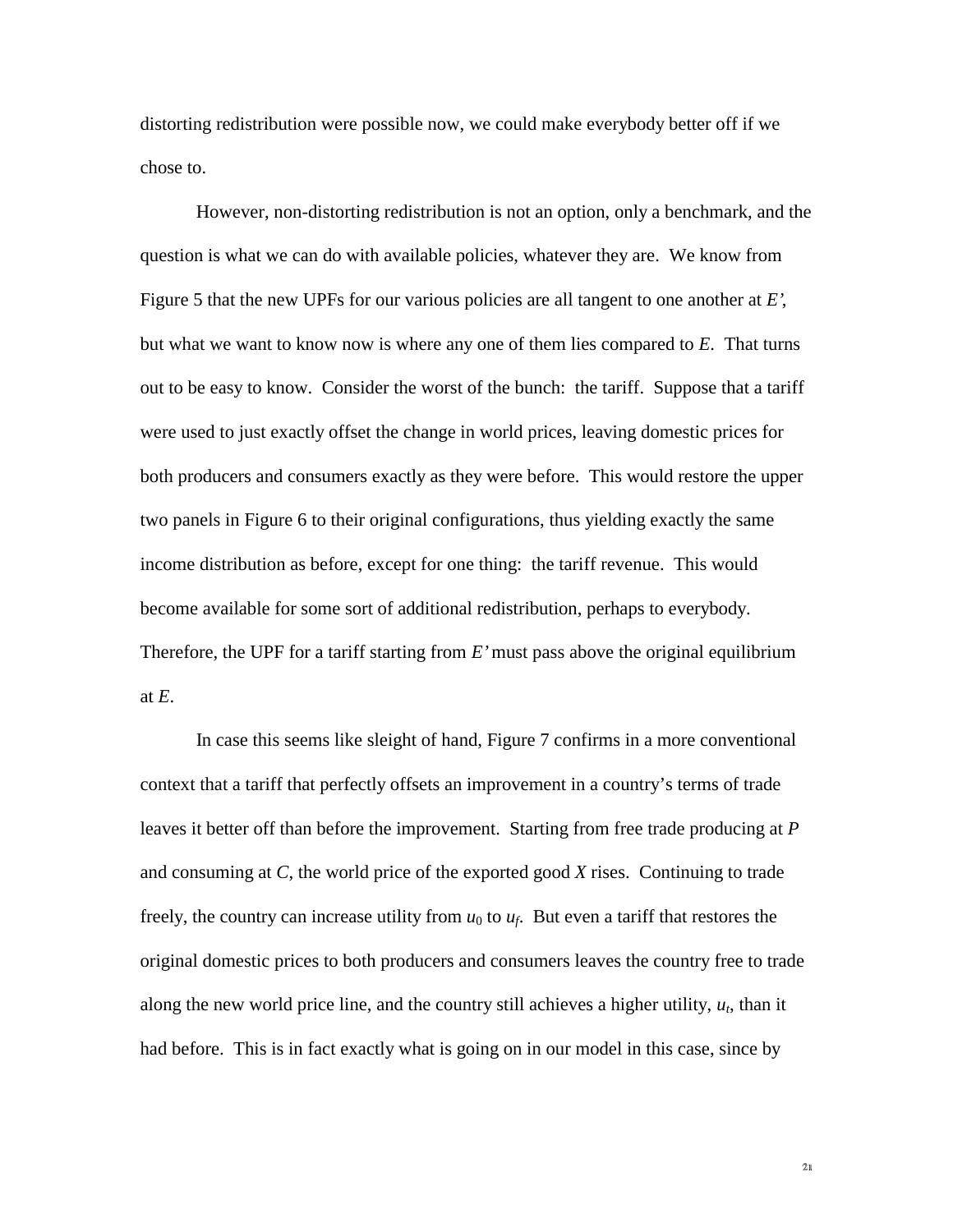distorting redistribution were possible now, we could make everybody better off if we chose to.

However, non-distorting redistribution is not an option, only a benchmark, and the question is what we can do with available policies, whatever they are. We know from Figure 5 that the new UPFs for our various policies are all tangent to one another at *E'*, but what we want to know now is where any one of them lies compared to *E*. That turns out to be easy to know. Consider the worst of the bunch: the tariff. Suppose that a tariff were used to just exactly offset the change in world prices, leaving domestic prices for both producers and consumers exactly as they were before. This would restore the upper two panels in Figure 6 to their original configurations, thus yielding exactly the same income distribution as before, except for one thing: the tariff revenue. This would become available for some sort of additional redistribution, perhaps to everybody. Therefore, the UPF for a tariff starting from *E'* must pass above the original equilibrium at *E*.

In case this seems like sleight of hand, Figure 7 confirms in a more conventional context that a tariff that perfectly offsets an improvement in a country's terms of trade leaves it better off than before the improvement. Starting from free trade producing at *P* and consuming at *C*, the world price of the exported good *X* rises. Continuing to trade freely, the country can increase utility from  $u_0$  to  $u_f$ . But even a tariff that restores the original domestic prices to both producers and consumers leaves the country free to trade along the new world price line, and the country still achieves a higher utility,  $u_t$ , than it had before. This is in fact exactly what is going on in our model in this case, since by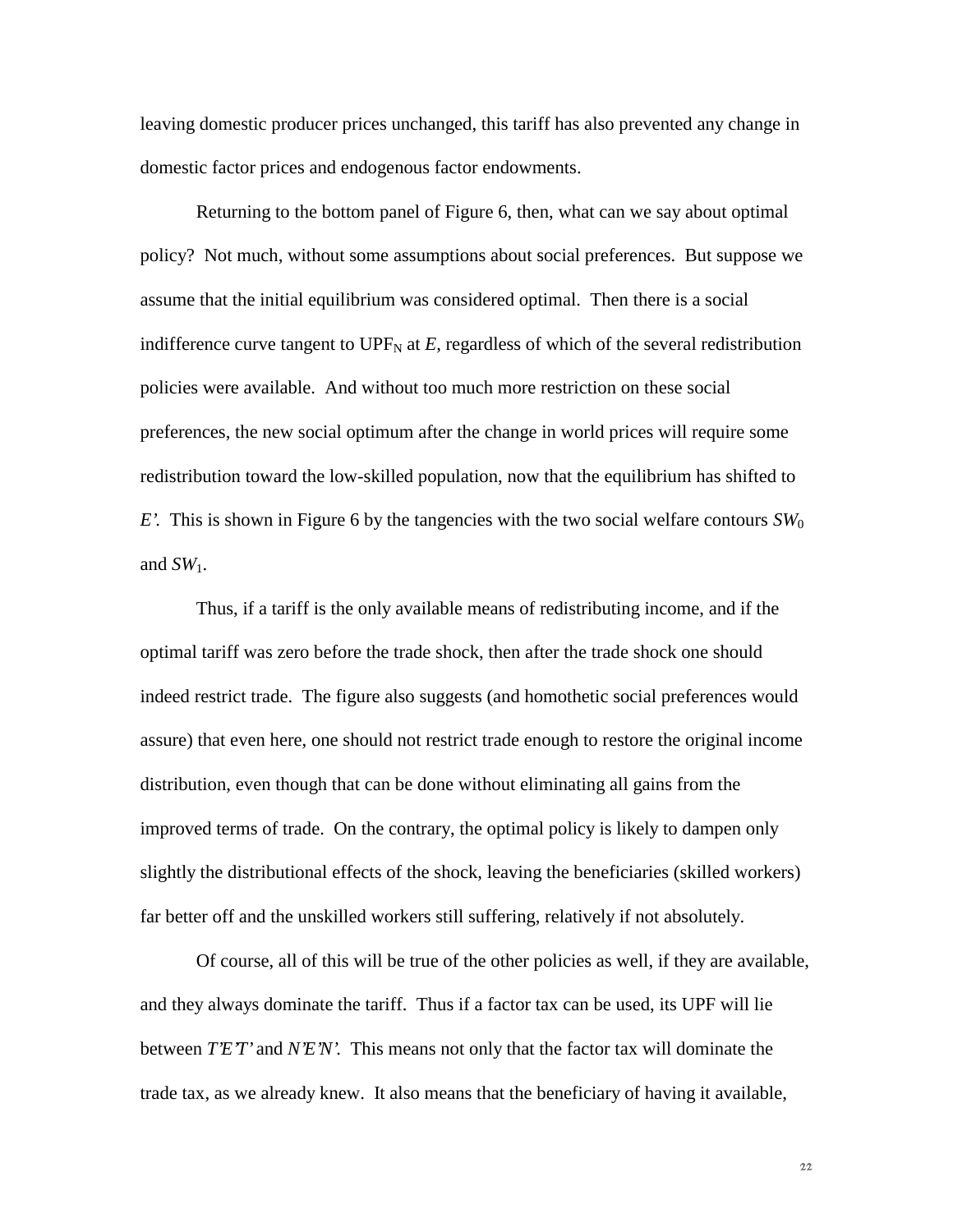leaving domestic producer prices unchanged, this tariff has also prevented any change in domestic factor prices and endogenous factor endowments.

Returning to the bottom panel of Figure 6, then, what can we say about optimal policy? Not much, without some assumptions about social preferences. But suppose we assume that the initial equilibrium was considered optimal. Then there is a social indifference curve tangent to UPF<sub>N</sub> at  $E$ , regardless of which of the several redistribution policies were available. And without too much more restriction on these social preferences, the new social optimum after the change in world prices will require some redistribution toward the low-skilled population, now that the equilibrium has shifted to *E*. This is shown in Figure 6 by the tangencies with the two social welfare contours  $SW_0$ and  $SW_1$ .

Thus, if a tariff is the only available means of redistributing income, and if the optimal tariff was zero before the trade shock, then after the trade shock one should indeed restrict trade. The figure also suggests (and homothetic social preferences would assure) that even here, one should not restrict trade enough to restore the original income distribution, even though that can be done without eliminating all gains from the improved terms of trade. On the contrary, the optimal policy is likely to dampen only slightly the distributional effects of the shock, leaving the beneficiaries (skilled workers) far better off and the unskilled workers still suffering, relatively if not absolutely.

Of course, all of this will be true of the other policies as well, if they are available, and they always dominate the tariff. Thus if a factor tax can be used, its UPF will lie between *T'E'T'* and *N'E'N'*. This means not only that the factor tax will dominate the trade tax, as we already knew. It also means that the beneficiary of having it available,

 $22$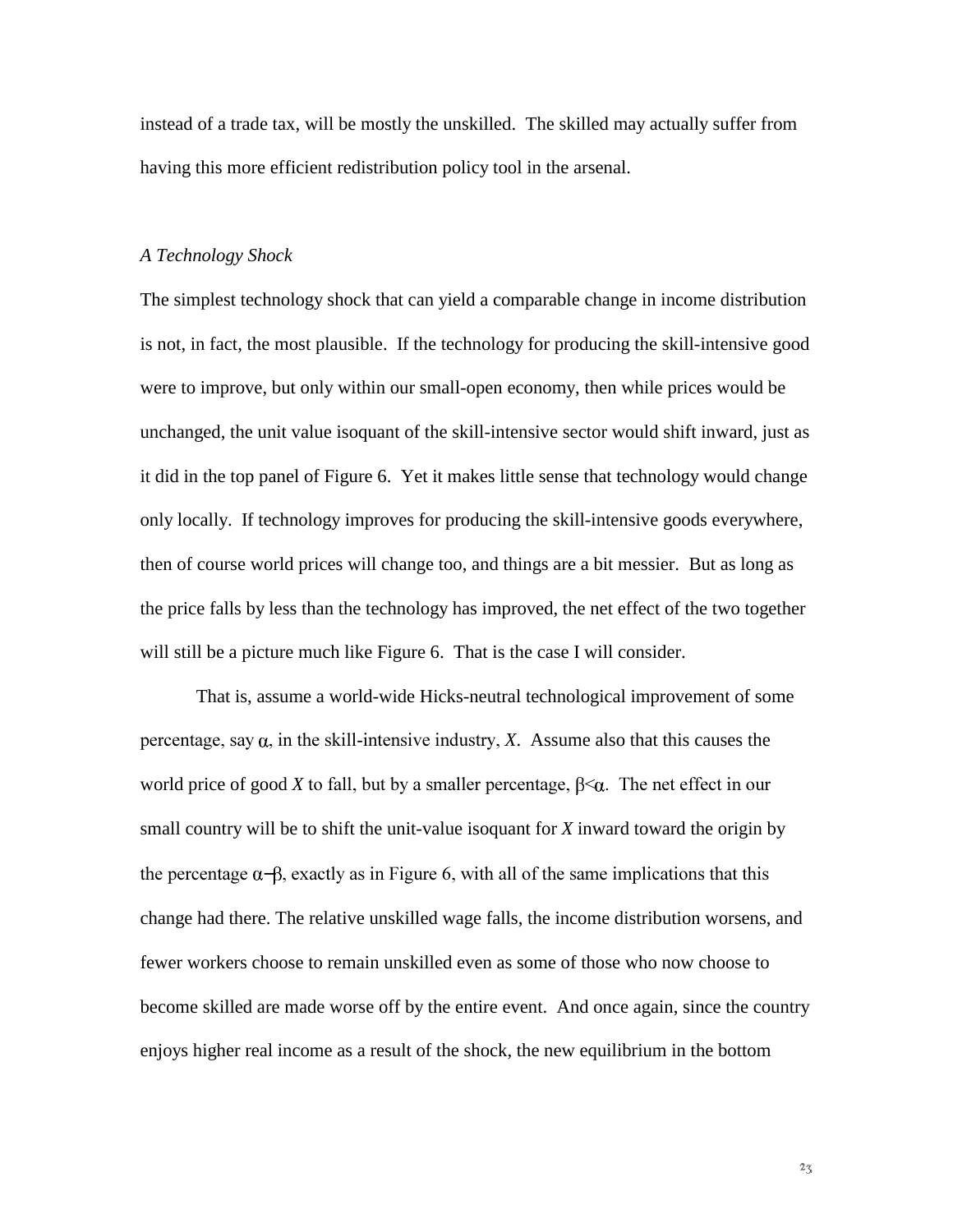instead of a trade tax, will be mostly the unskilled. The skilled may actually suffer from having this more efficient redistribution policy tool in the arsenal.

#### *A Technology Shock*

The simplest technology shock that can yield a comparable change in income distribution is not, in fact, the most plausible. If the technology for producing the skill-intensive good were to improve, but only within our small-open economy, then while prices would be unchanged, the unit value isoquant of the skill-intensive sector would shift inward, just as it did in the top panel of Figure 6. Yet it makes little sense that technology would change only locally. If technology improves for producing the skill-intensive goods everywhere, then of course world prices will change too, and things are a bit messier. But as long as the price falls by less than the technology has improved, the net effect of the two together will still be a picture much like Figure 6. That is the case I will consider.

That is, assume a world-wide Hicks-neutral technological improvement of some percentage, say  $\alpha$ , in the skill-intensive industry, X. Assume also that this causes the world price of good *X* to fall, but by a smaller percentage,  $\beta<\alpha$ . The net effect in our small country will be to shift the unit-value isoquant for *X* inward toward the origin by the percentage  $\alpha$ - $\beta$ , exactly as in Figure 6, with all of the same implications that this change had there. The relative unskilled wage falls, the income distribution worsens, and fewer workers choose to remain unskilled even as some of those who now choose to become skilled are made worse off by the entire event. And once again, since the country enjoys higher real income as a result of the shock, the new equilibrium in the bottom

 $2\sqrt{3}$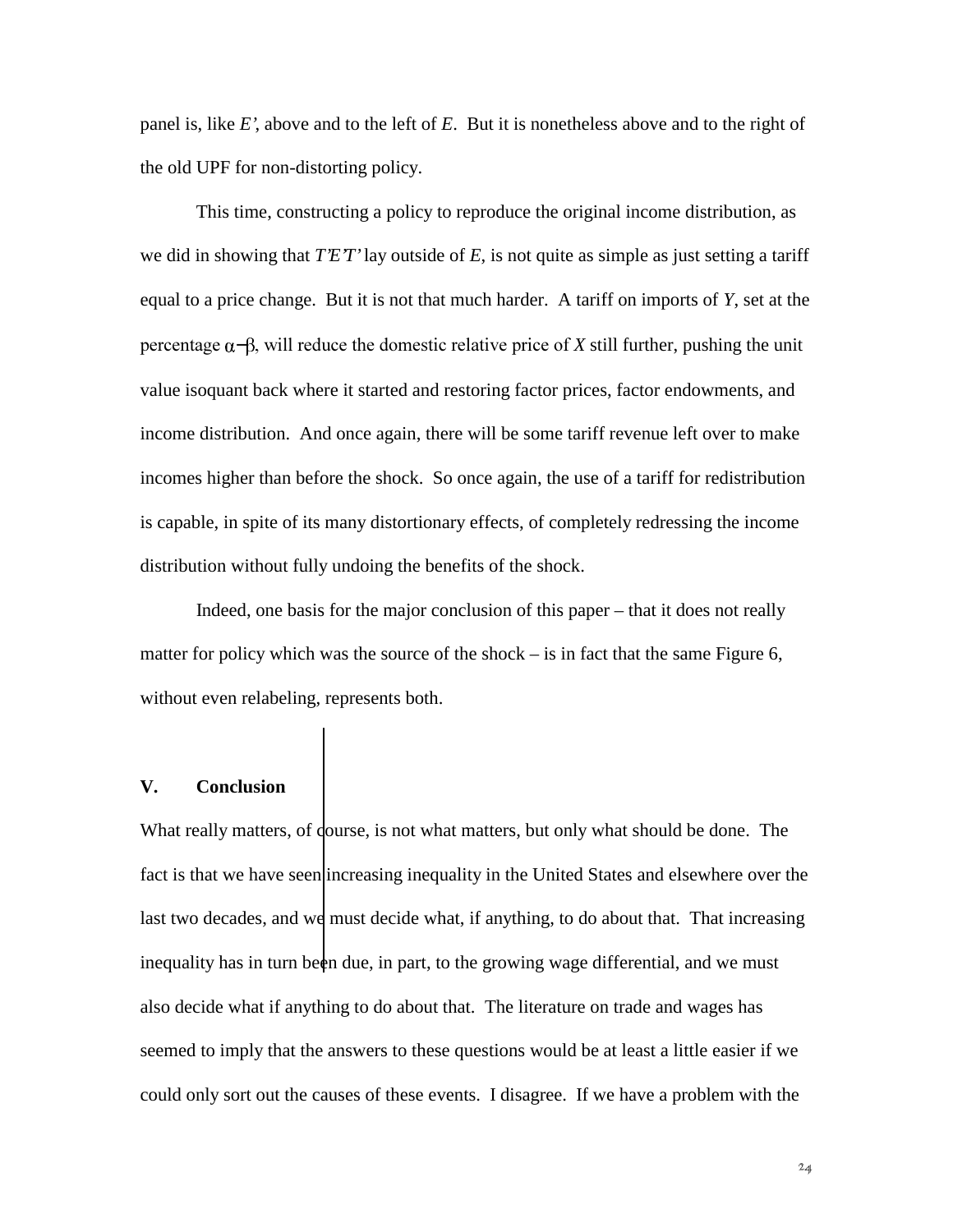panel is, like *E'*, above and to the left of *E*. But it is nonetheless above and to the right of the old UPF for non-distorting policy.

This time, constructing a policy to reproduce the original income distribution, as we did in showing that *T'E'T'* lay outside of *E*, is not quite as simple as just setting a tariff equal to a price change. But it is not that much harder. A tariff on imports of *Y*, set at the  $\beta$  percentage  $\alpha$ - $\beta$ , will reduce the domestic relative price of X still further, pushing the unit value isoquant back where it started and restoring factor prices, factor endowments, and income distribution. And once again, there will be some tariff revenue left over to make incomes higher than before the shock. So once again, the use of a tariff for redistribution is capable, in spite of its many distortionary effects, of completely redressing the income distribution without fully undoing the benefits of the shock.

Indeed, one basis for the major conclusion of this paper – that it does not really matter for policy which was the source of the shock – is in fact that the same Figure 6, without even relabeling, represents both.

#### **V. Conclusion**

What really matters, of dourse, is not what matters, but only what should be done. The fact is that we have seen increasing inequality in the United States and elsewhere over the last two decades, and we must decide what, if anything, to do about that. That increasing inequality has in turn been due, in part, to the growing wage differential, and we must also decide what if anything to do about that. The literature on trade and wages has seemed to imply that the answers to these questions would be at least a little easier if we could only sort out the causes of these events. I disagree. If we have a problem with the

 $24$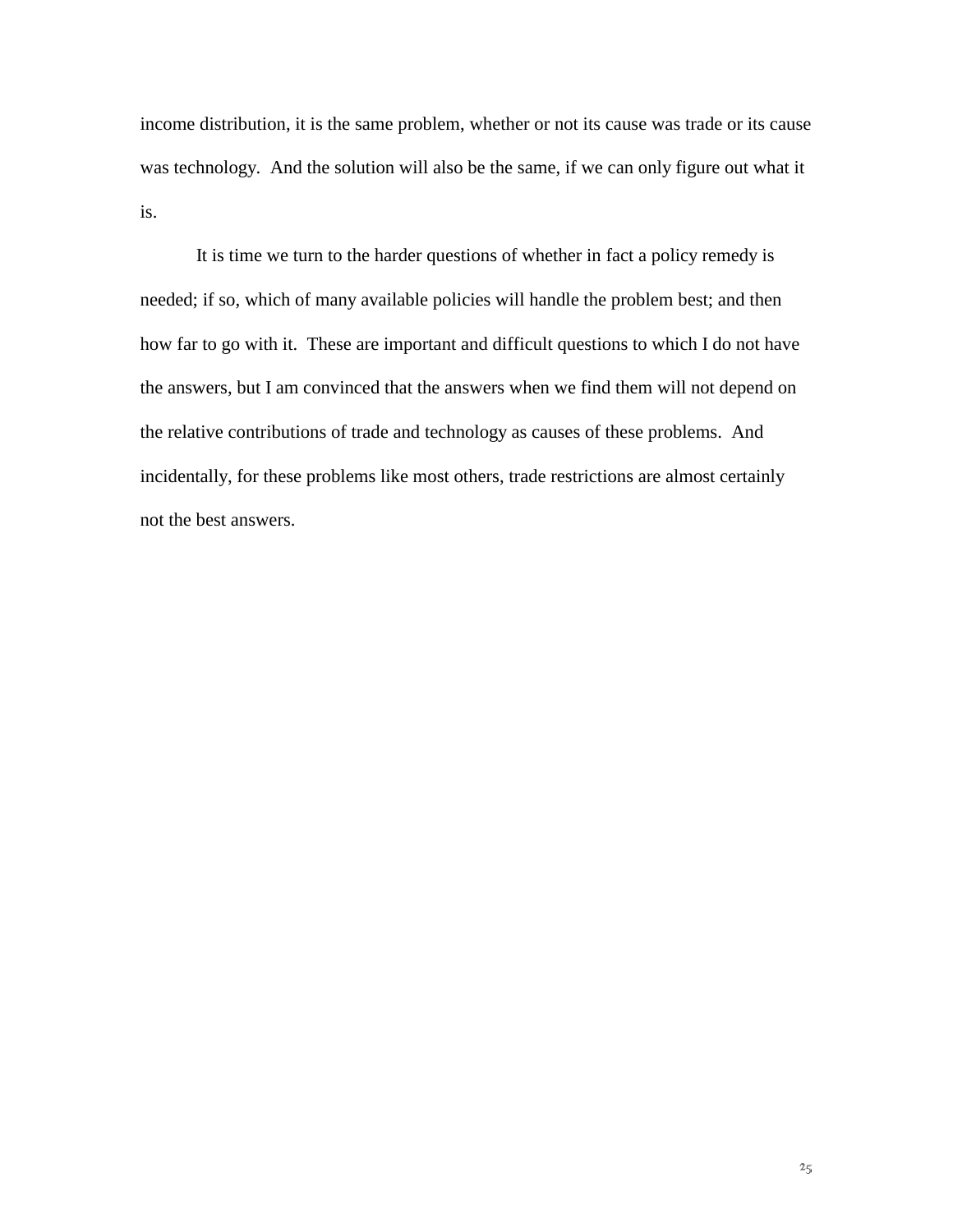income distribution, it is the same problem, whether or not its cause was trade or its cause was technology. And the solution will also be the same, if we can only figure out what it is.

It is time we turn to the harder questions of whether in fact a policy remedy is needed; if so, which of many available policies will handle the problem best; and then how far to go with it. These are important and difficult questions to which I do not have the answers, but I am convinced that the answers when we find them will not depend on the relative contributions of trade and technology as causes of these problems. And incidentally, for these problems like most others, trade restrictions are almost certainly not the best answers.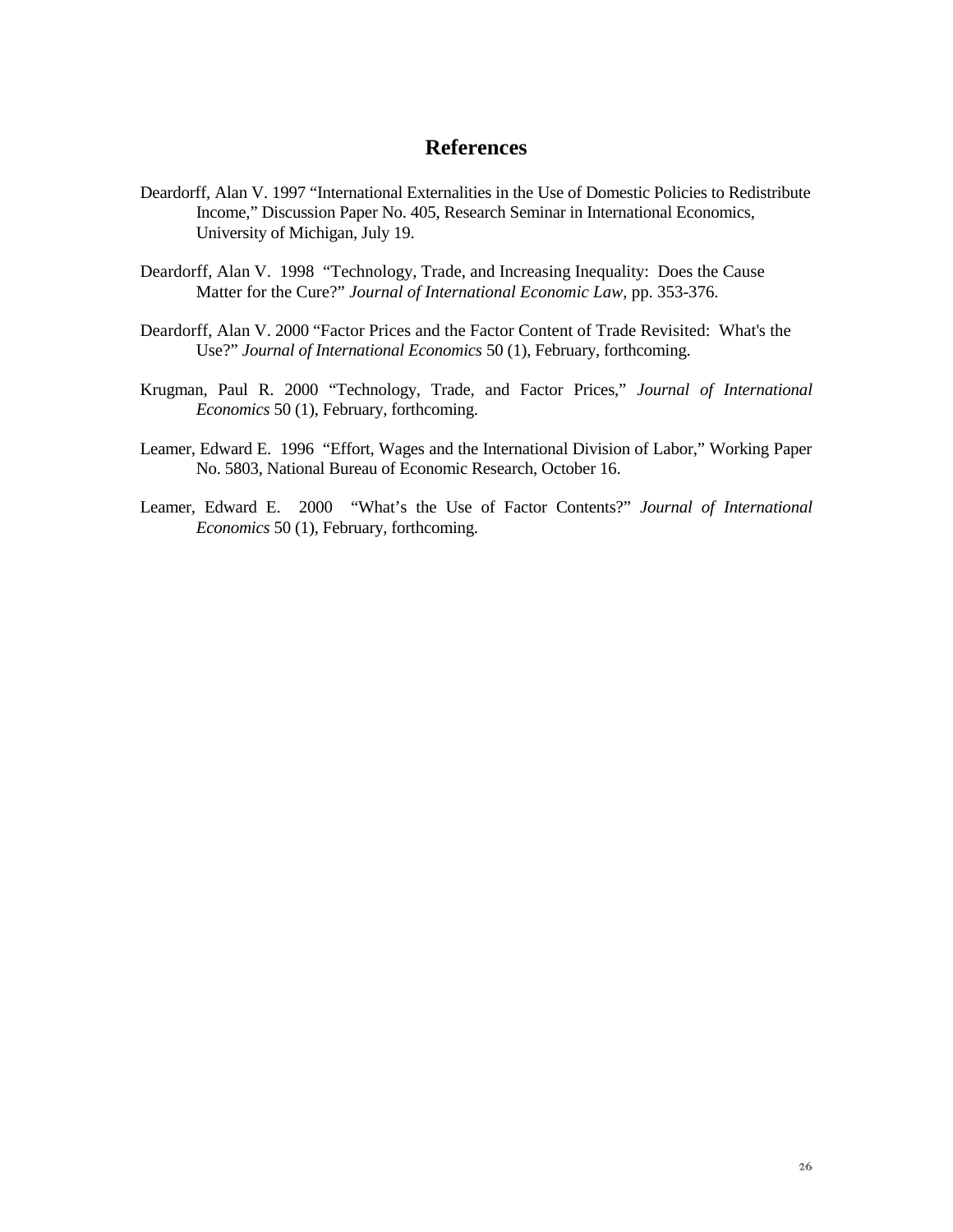## **References**

- Deardorff, Alan V. 1997 "International Externalities in the Use of Domestic Policies to Redistribute Income," Discussion Paper No. 405, Research Seminar in International Economics, University of Michigan, July 19.
- Deardorff, Alan V. 1998 "Technology, Trade, and Increasing Inequality: Does the Cause Matter for the Cure?" *Journal of International Economic Law*, pp. 353-376.
- Deardorff, Alan V. 2000 "Factor Prices and the Factor Content of Trade Revisited: What's the Use?" *Journal of International Economics* 50 (1), February, forthcoming.
- Krugman, Paul R. 2000 "Technology, Trade, and Factor Prices," *Journal of International Economics* 50 (1), February, forthcoming.
- Leamer, Edward E. 1996 "Effort, Wages and the International Division of Labor," Working Paper No. 5803, National Bureau of Economic Research, October 16.
- Leamer, Edward E. 2000 "What's the Use of Factor Contents?" *Journal of International Economics* 50 (1), February, forthcoming.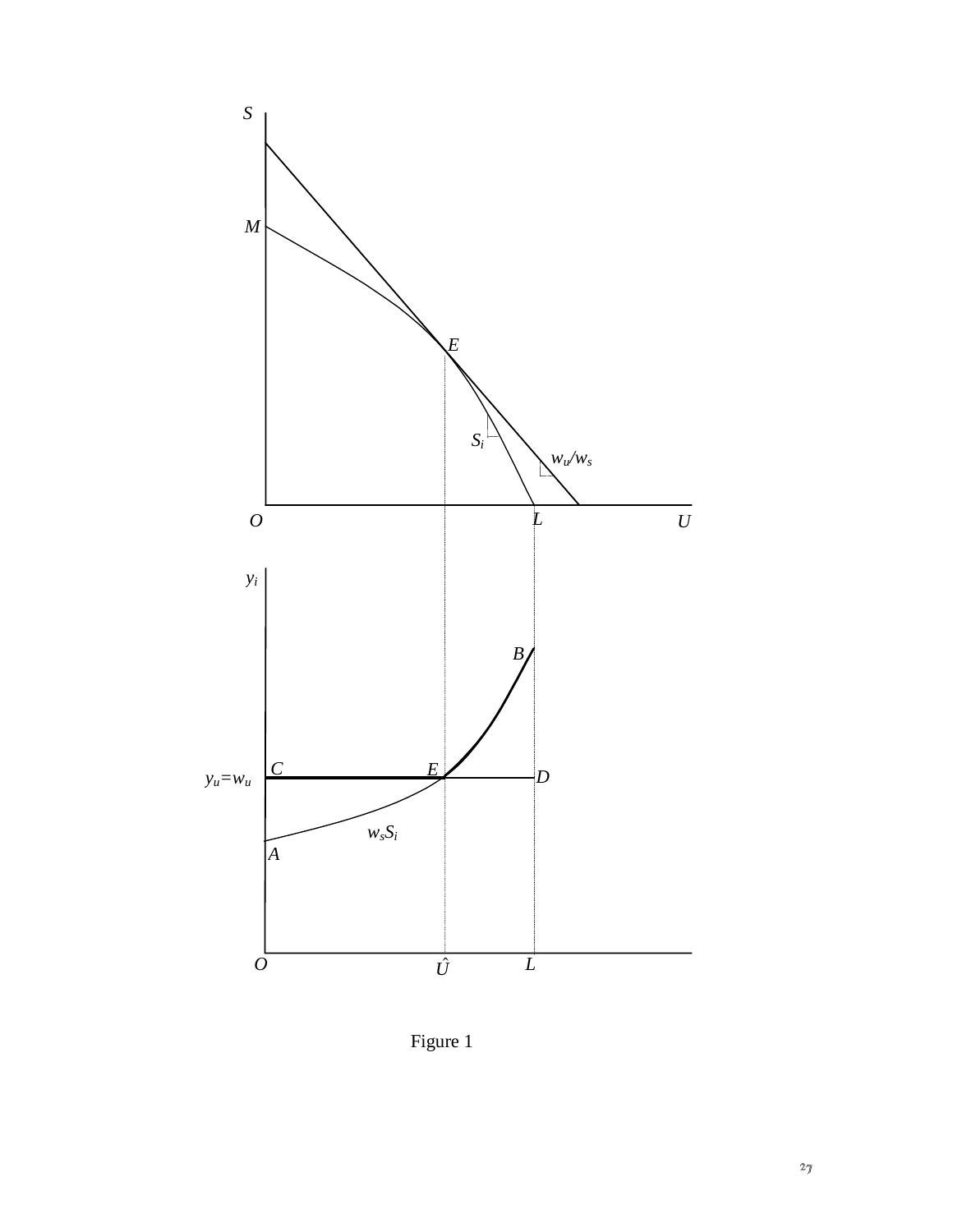

Figure 1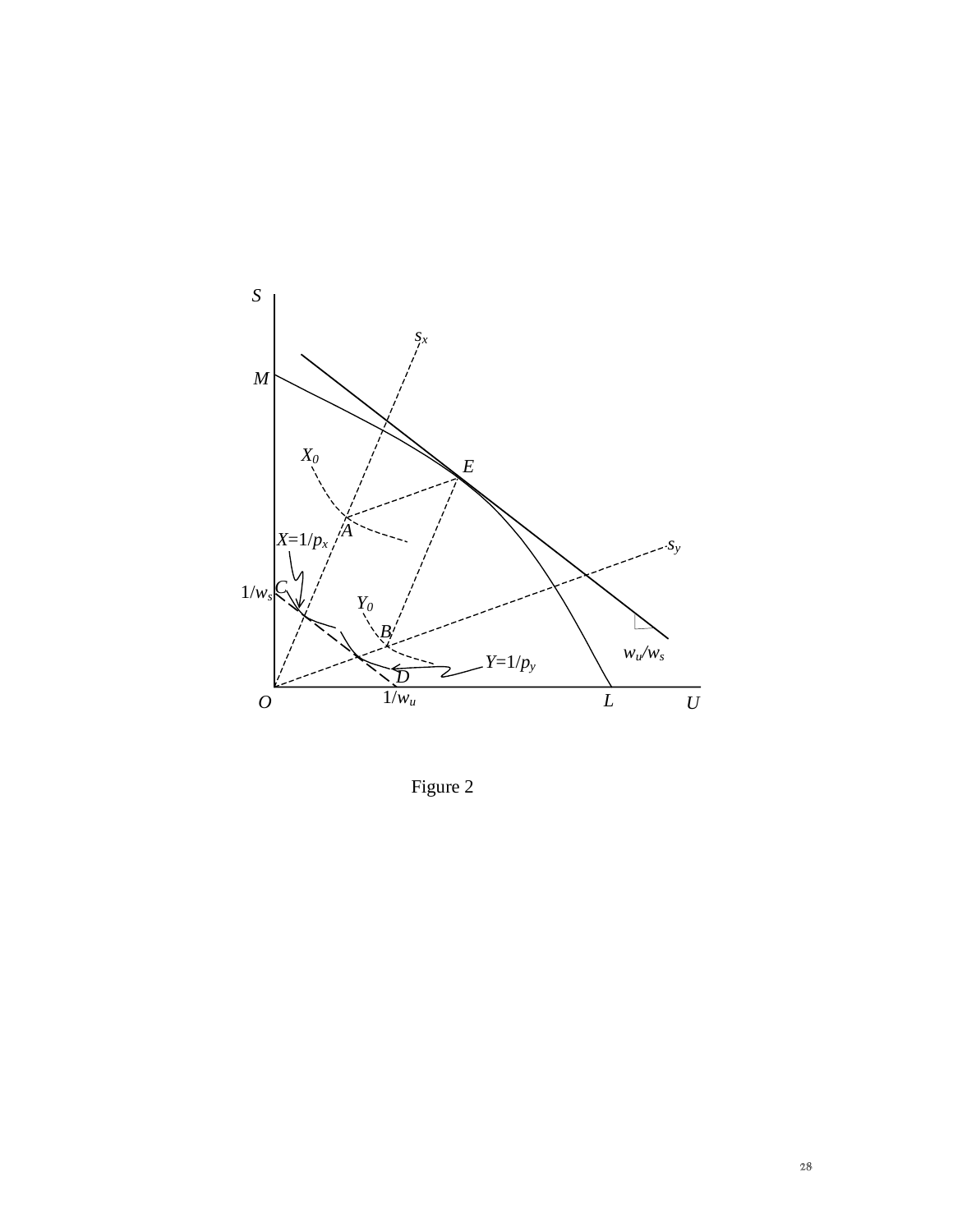

Figure 2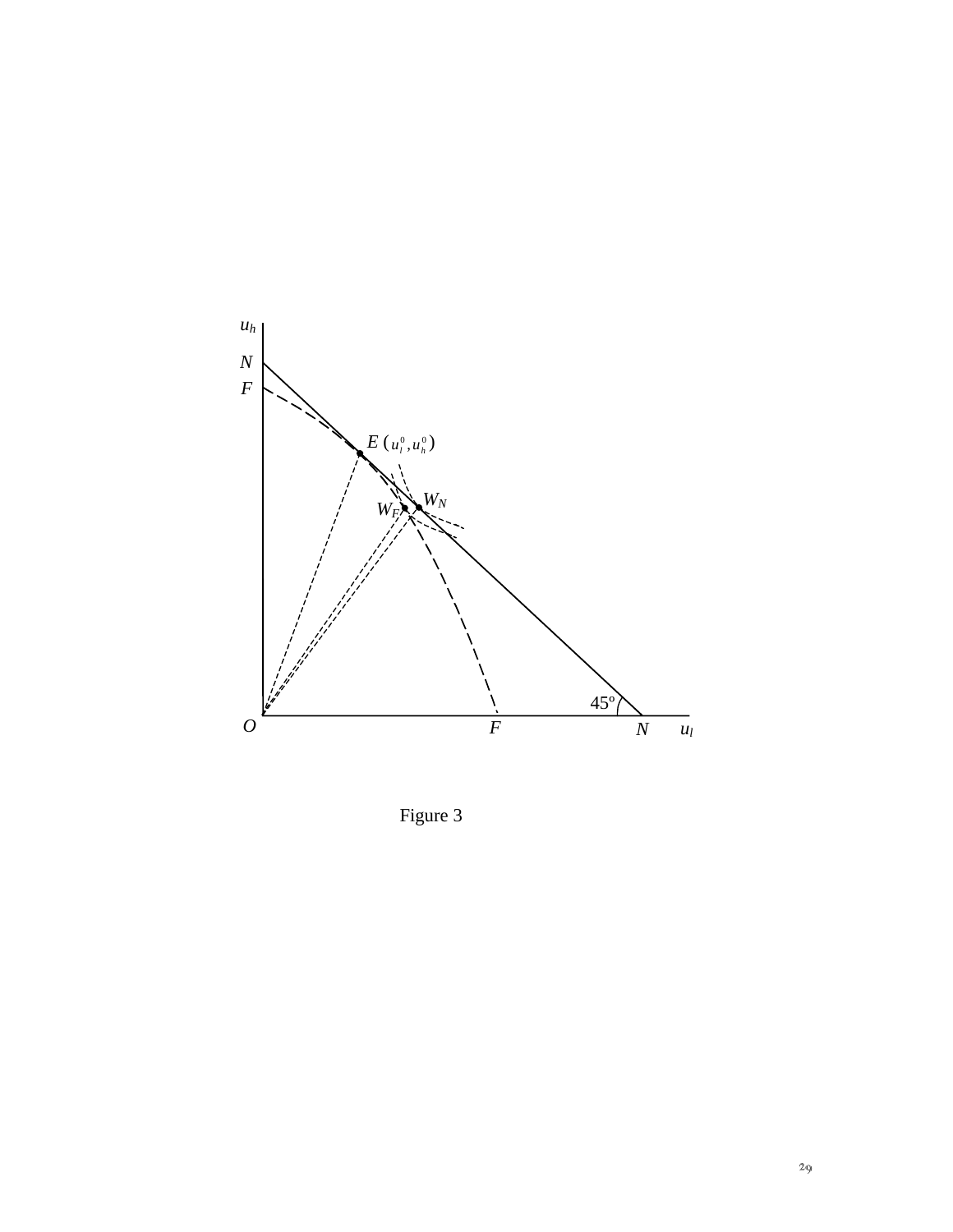

Figure 3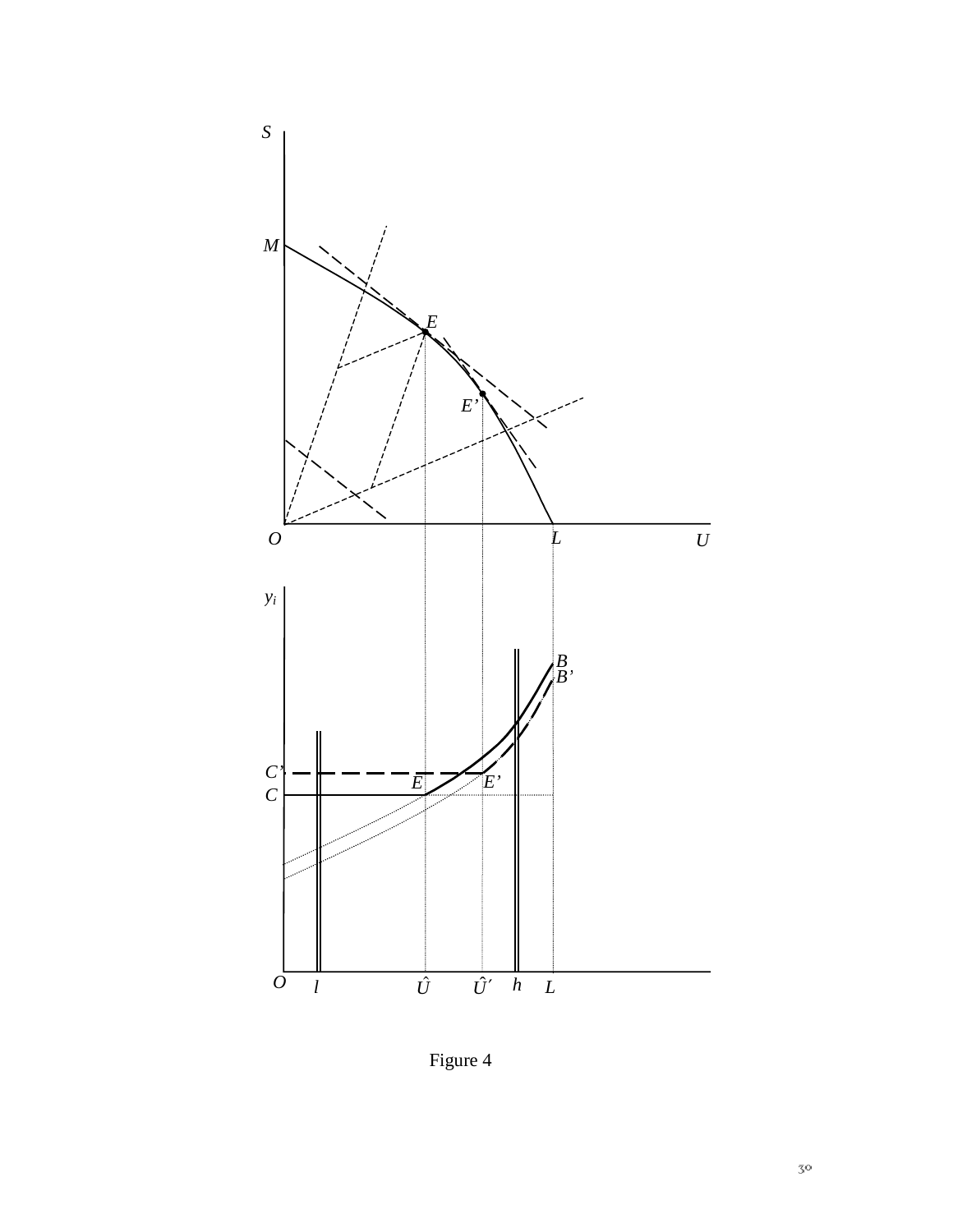

Figure 4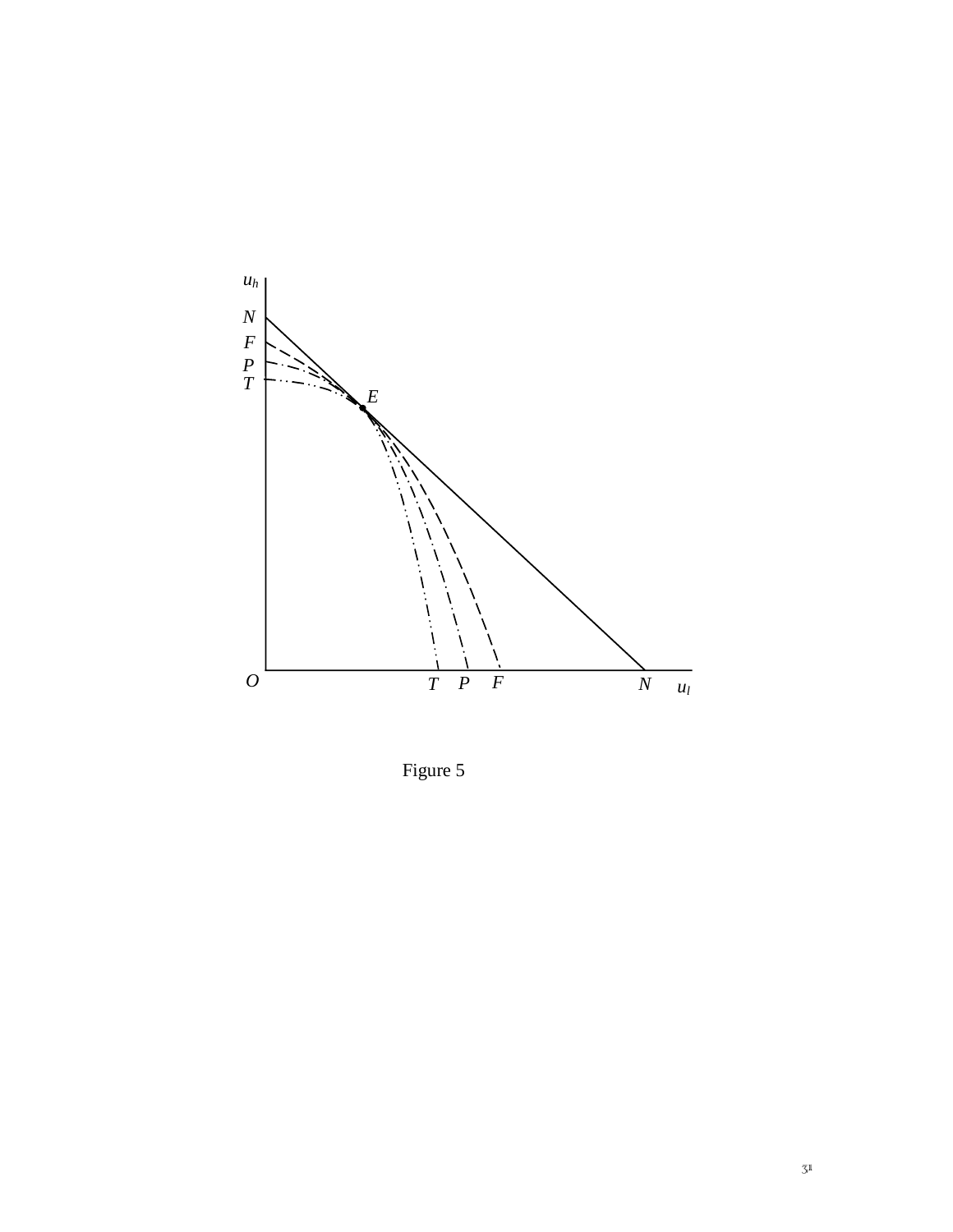

Figure 5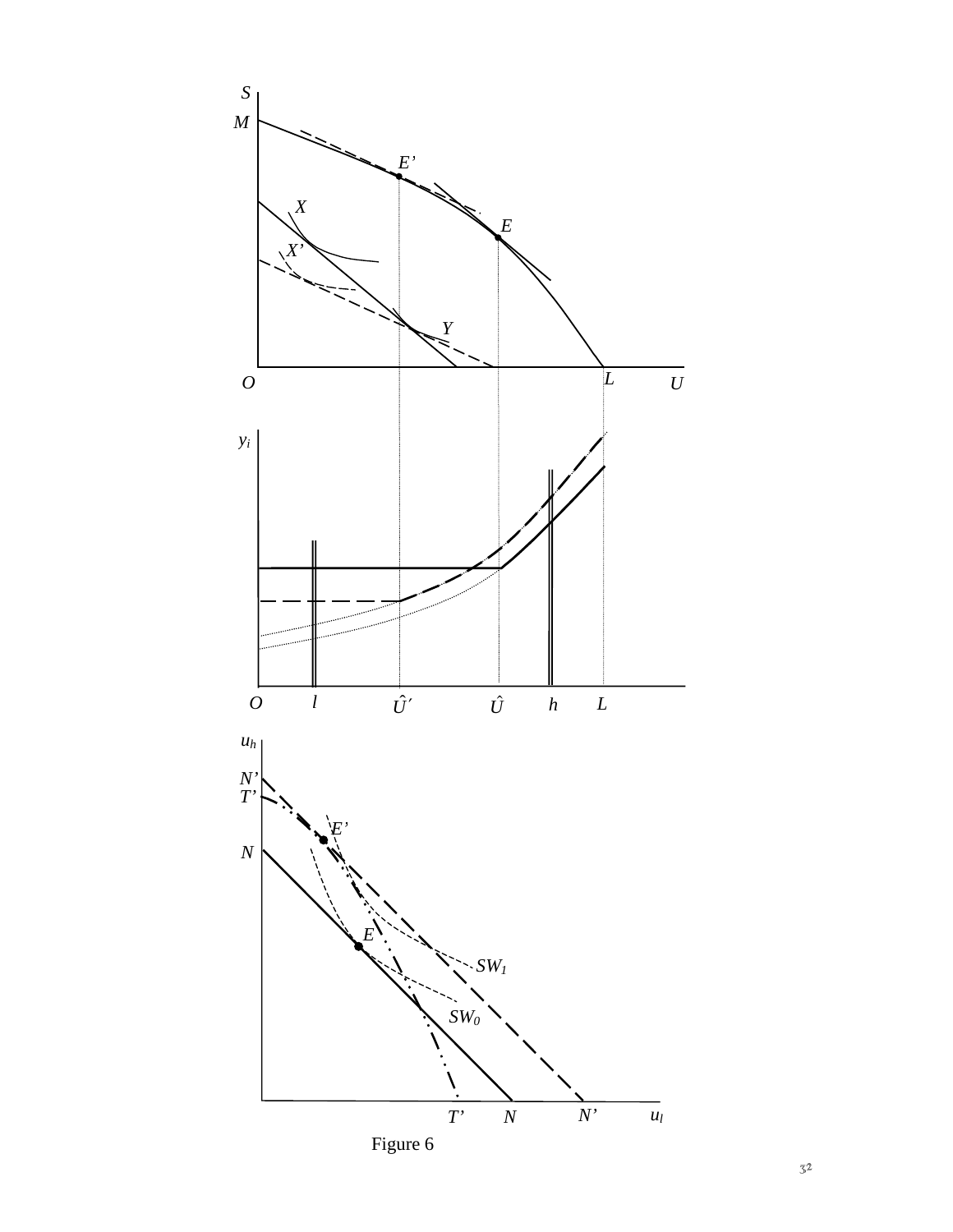